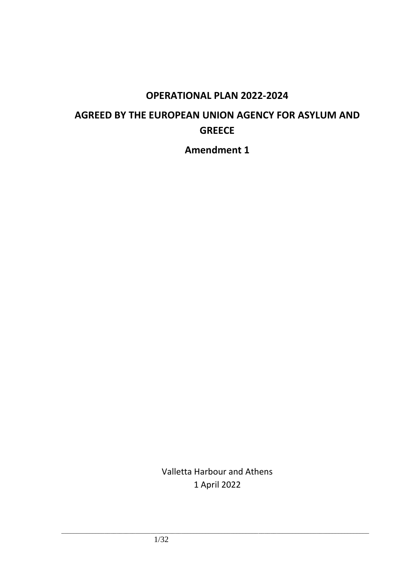## **OPERATIONAL PLAN 2022-2024**

# **AGREED BY THE EUROPEAN UNION AGENCY FOR ASYLUM AND GREECE**

**Amendment 1**

Valletta Harbour and Athens 1 April 2022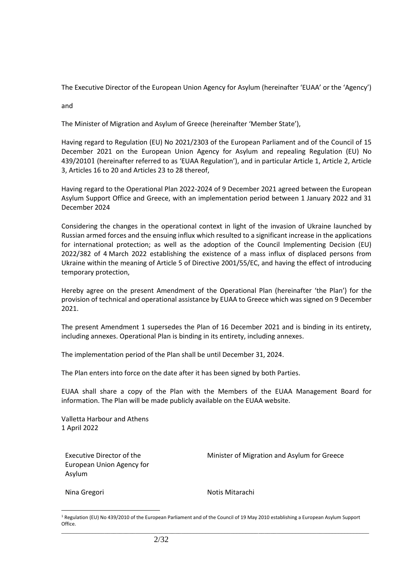The Executive Director of the European Union Agency for Asylum (hereinafter 'EUAA' or the 'Agency')

and

The Minister of Migration and Asylum of Greece (hereinafter 'Member State'),

Having regard to Regulation (EU) No 2021/2303 of the European Parliament and of the Council of 15 December 2021 on the European Union Agency for Asylum and repealing Regulation (EU) No 439/20101 (hereinafter referred to as 'EUAA Regulation'), and in particular Article 1, Article 2, Article 3, Articles 16 to 20 and Articles 23 to 28 thereof,

Having regard to the Operational Plan 2022-2024 of 9 December 2021 agreed between the European Asylum Support Office and Greece, with an implementation period between 1 January 2022 and 31 December 2024

Considering the changes in the operational context in light of the invasion of Ukraine launched by Russian armed forces and the ensuing influx which resulted to a significant increase in the applications for international protection; as well as the adoption of the Council Implementing Decision (EU) 2022/382 of 4 March 2022 establishing the existence of a mass influx of displaced persons from Ukraine within the meaning of Article 5 of Directive 2001/55/EC, and having the effect of introducing temporary protection,

Hereby agree on the present Amendment of the Operational Plan (hereinafter 'the Plan') for the provision of technical and operational assistance by EUAA to Greece which was signed on 9 December 2021.

The present Amendment 1 supersedes the Plan of 16 December 2021 and is binding in its entirety, including annexes. Operational Plan is binding in its entirety, including annexes.

The implementation period of the Plan shall be until December 31, 2024.

The Plan enters into force on the date after it has been signed by both Parties.

EUAA shall share a copy of the Plan with the Members of the EUAA Management Board for information. The Plan will be made publicly available on the EUAA website.

Valletta Harbour and Athens 1 April 2022

Executive Director of the European Union Agency for Asylum

Minister of Migration and Asylum for Greece

Nina Gregori **Notis Mitarachi** Notis Mitarachi

<sup>&</sup>lt;sup>1</sup> Regulation (EU) No 439/2010 of the European Parliament and of the Council of 19 May 2010 establishing a European Asylum Support Office.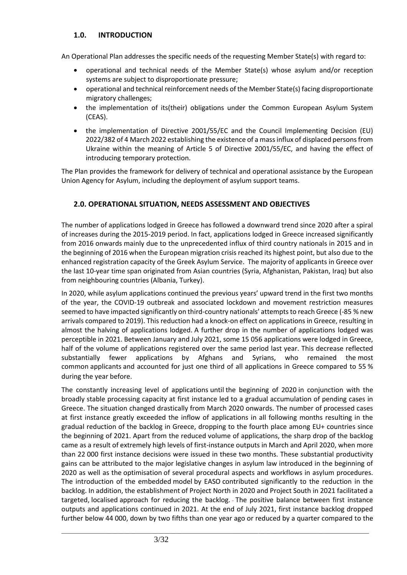## **1.0. INTRODUCTION**

An Operational Plan addresses the specific needs of the requesting Member State(s) with regard to:

- operational and technical needs of the Member State(s) whose asylum and/or reception systems are subject to disproportionate pressure;
- operational and technical reinforcement needs of the Member State(s) facing disproportionate migratory challenges;
- the implementation of its(their) obligations under the Common European Asylum System (CEAS).
- the implementation of Directive 2001/55/EC and the Council Implementing Decision (EU) 2022/382 of 4 March 2022 establishing the existence of a mass influx of displaced persons from Ukraine within the meaning of Article 5 of Directive 2001/55/EC, and having the effect of introducing temporary protection.

The Plan provides the framework for delivery of technical and operational assistance by the European Union Agency for Asylum, including the deployment of asylum support teams.

## **2.0. OPERATIONAL SITUATION, NEEDS ASSESSMENT AND OBJECTIVES**

The number of applications lodged in Greece has followed a downward trend since 2020 after a spiral of increases during the 2015-2019 period. In fact, applications lodged in Greece increased significantly from 2016 onwards mainly due to the unprecedented influx of third country nationals in 2015 and in the beginning of 2016 when the European migration crisis reached its highest point, but also due to the enhanced registration capacity of the Greek Asylum Service. The majority of applicants in Greece over the last 10-year time span originated from Asian countries (Syria, Afghanistan, Pakistan, Iraq) but also from neighbouring countries (Albania, Turkey).

In 2020, while asylum applications continued the previous years' upward trend in the first two months of the year, the COVID-19 outbreak and associated lockdown and movement restriction measures seemed to have impacted significantly on third-country nationals' attempts to reach Greece (-85 % new arrivals compared to 2019). This reduction had a knock-on effect on applications in Greece, resulting in almost the halving of applications lodged. A further drop in the number of applications lodged was perceptible in 2021. Between January and July 2021, some 15 056 applications were lodged in Greece, half of the volume of applications registered over the same period last year. This decrease reflected substantially fewer applications by Afghans and Syrians, who remained the most common applicants and accounted for just one third of all applications in Greece compared to 55 % during the year before.

The constantly increasing level of applications until the beginning of 2020 in conjunction with the broadly stable processing capacity at first instance led to a gradual accumulation of pending cases in Greece. The situation changed drastically from March 2020 onwards. The number of processed cases at first instance greatly exceeded the inflow of applications in all following months resulting in the gradual reduction of the backlog in Greece, dropping to the fourth place among EU+ countries since the beginning of 2021. Apart from the reduced volume of applications, the sharp drop of the backlog came as a result of extremely high levels of first-instance outputs in March and April 2020, when more than 22 000 first instance decisions were issued in these two months. These substantial productivity gains can be attributed to the major legislative changes in asylum law introduced in the beginning of 2020 as well as the optimisation of several procedural aspects and workflows in asylum procedures. The introduction of the embedded model by EASO contributed significantly to the reduction in the backlog. In addition, the establishment of Project North in 2020 and Project South in 2021 facilitated a targeted, localised approach for reducing the backlog. - The positive balance between first instance outputs and applications continued in 2021. At the end of July 2021, first instance backlog dropped further below 44 000, down by two fifths than one year ago or reduced by a quarter compared to the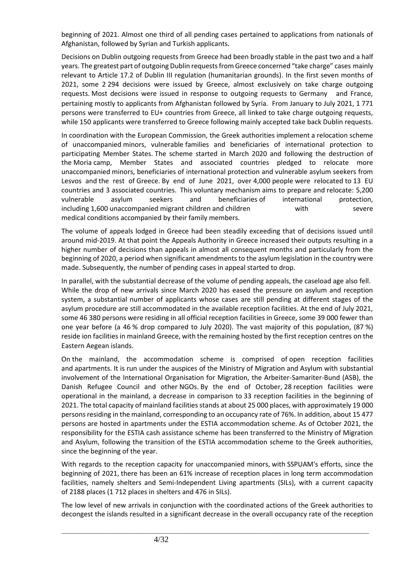beginning of 2021. Almost one third of all pending cases pertained to applications from nationals of Afghanistan, followed by Syrian and Turkish applicants.

Decisions on Dublin outgoing requests from Greece had been broadly stable in the past two and a half years. The greatest part of outgoing Dublin requests from Greece concerned "take charge" cases mainly relevant to Article 17.2 of Dublin III regulation (humanitarian grounds). In the first seven months of 2021, some 2 294 decisions were issued by Greece, almost exclusively on take charge outgoing requests. Most decisions were issued in response to outgoing requests to Germany and France, pertaining mostly to applicants from Afghanistan followed by Syria. From January to July 2021, 1 771 persons were transferred to EU+ countries from Greece, all linked to take charge outgoing requests, while 150 applicants were transferred to Greece following mainly accepted take back Dublin requests.

In coordination with the European Commission, the Greek authorities implement a relocation scheme of unaccompanied minors, vulnerable families and beneficiaries of international protection to participating Member States. The scheme started in March 2020 and following the destruction of the Moria camp, Member States and associated countries pledged to relocate more unaccompanied minors, beneficiaries of international protection and vulnerable asylum seekers from Lesvos and the rest of Greece. By end of June 2021, over 4,000 people were relocated to 13 EU countries and 3 associated countries. This voluntary mechanism aims to prepare and relocate: 5,200 vulnerable asylum seekers and beneficiaries of international protection, including 1,600 unaccompanied migrant children and children with severe medical conditions accompanied by their family members.

The volume of appeals lodged in Greece had been steadily exceeding that of decisions issued until around mid-2019. At that point the Appeals Authority in Greece increased their outputs resulting in a higher number of decisions than appeals in almost all consequent months and particularly from the beginning of 2020, a period when significant amendments to the asylum legislation in the country were made. Subsequently, the number of pending cases in appeal started to drop.

In parallel, with the substantial decrease of the volume of pending appeals, the caseload age also fell. While the drop of new arrivals since March 2020 has eased the pressure on asylum and reception system, a substantial number of applicants whose cases are still pending at different stages of the asylum procedure are still accommodated in the available reception facilities. At the end of July 2021, some 46 380 persons were residing in all official reception facilities in Greece, some 39 000 fewer than one year before (a 46 % drop compared to July 2020). The vast majority of this population, (87 %) reside ion facilities in mainland Greece, with the remaining hosted by the first reception centres on the Eastern Aegean islands.

On the mainland, the accommodation scheme is comprised of open reception facilities and apartments. It is run under the auspices of the Ministry of Migration and Asylum with substantial involvement of the International Organisation for Migration, the Arbeiter-Samariter-Bund (ASB), the Danish Refugee Council and other NGOs. By the end of October, 28 reception facilities were operational in the mainland, a decrease in comparison to 33 reception facilities in the beginning of 2021. The total capacity of mainland facilities stands at about 25 000 places, with approximately 19 000 persons residing in the mainland, corresponding to an occupancy rate of 76%. In addition, about 15 477 persons are hosted in apartments under the ESTIA accommodation scheme. As of October 2021, the responsibility for the ESTIA cash assistance scheme has been transferred to the Ministry of Migration and Asylum, following the transition of the ESTIA accommodation scheme to the Greek authorities, since the beginning of the year.

With regards to the reception capacity for unaccompanied minors, with SSPUAM's efforts, since the beginning of 2021, there has been an 61% increase of reception places in long term accommodation facilities, namely shelters and Semi-Independent Living apartments (SILs), with a current capacity of 2188 places (1 712 places in shelters and 476 in SILs).

The low level of new arrivals in conjunction with the coordinated actions of the Greek authorities to decongest the islands resulted in a significant decrease in the overall occupancy rate of the reception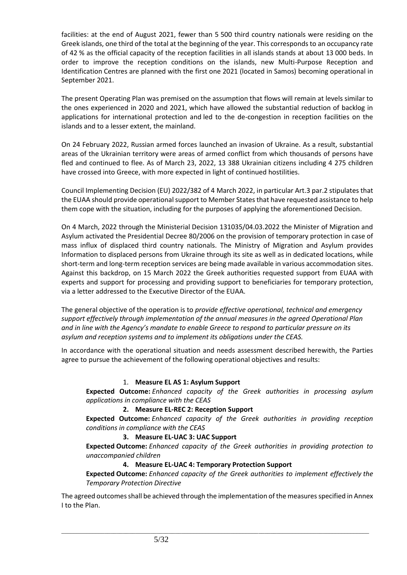facilities: at the end of August 2021, fewer than 5 500 third country nationals were residing on the Greek islands, one third of the total at the beginning of the year. This corresponds to an occupancy rate of 42 % as the official capacity of the reception facilities in all islands stands at about 13 000 beds. In order to improve the reception conditions on the islands, new Multi-Purpose Reception and Identification Centres are planned with the first one 2021 (located in Samos) becoming operational in September 2021.

The present Operating Plan was premised on the assumption that flows will remain at levels similar to the ones experienced in 2020 and 2021, which have allowed the substantial reduction of backlog in applications for international protection and led to the de-congestion in reception facilities on the islands and to a lesser extent, the mainland.

On 24 February 2022, Russian armed forces launched an invasion of Ukraine. As a result, substantial areas of the Ukrainian territory were areas of armed conflict from which thousands of persons have fled and continued to flee. As of March 23, 2022, 13 388 Ukrainian citizens including 4 275 children have crossed into Greece, with more expected in light of continued hostilities.

Council Implementing Decision (EU) 2022/382 of 4 March 2022, in particular Art.3 par.2 stipulates that the EUAA should provide operational support to Member States that have requested assistance to help them cope with the situation, including for the purposes of applying the aforementioned Decision.

On 4 March, 2022 through the Ministerial Decision 131035/04.03.2022 the Minister of Migration and Asylum activated the Presidential Decree 80/2006 on the provision of temporary protection in case of mass influx of displaced third country nationals. The Ministry of Migration and Asylum provides Information to displaced persons from Ukraine through its site as well as in dedicated locations, while short-term and long-term reception services are being made available in various accommodation sites. Against this backdrop, on 15 March 2022 the Greek authorities requested support from EUAA with experts and support for processing and providing support to beneficiaries for temporary protection, via a letter addressed to the Executive Director of the EUAA.

The general objective of the operation is to *provide effective operational, technical and emergency support effectively through implementation of the annual measures in the agreed Operational Plan and in line with the Agency's mandate to enable Greece to respond to particular pressure on its asylum and reception systems and to implement its obligations under the CEAS.*

In accordance with the operational situation and needs assessment described herewith, the Parties agree to pursue the achievement of the following operational objectives and results:

#### 1. **Measure EL AS 1: Asylum Support**

**Expected Outcome:** *Enhanced capacity of the Greek authorities in processing asylum applications in compliance with the CEAS*

#### **2. Measure EL-REC 2: Reception Support**

**Expected Outcome:** *Enhanced capacity of the Greek authorities in providing reception conditions in compliance with the CEAS*

#### **3. Measure EL-UAC 3: UAC Support**

**Expected Outcome:** *Enhanced capacity of the Greek authorities in providing protection to unaccompanied children* 

#### **4. Measure EL-UAC 4: Temporary Protection Support**

**Expected Outcome:** *Enhanced capacity of the Greek authorities to implement effectively the Temporary Protection Directive* 

The agreed outcomes shall be achieved through the implementation of the measures specified in Annex I to the Plan.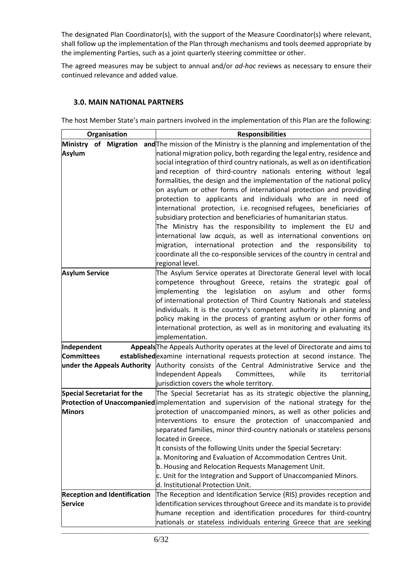The designated Plan Coordinator(s), with the support of the Measure Coordinator(s) where relevant, shall follow up the implementation of the Plan through mechanisms and tools deemed appropriate by the implementing Parties, such as a joint quarterly steering committee or other.

The agreed measures may be subject to annual and/or *ad-hoc* reviews as necessary to ensure their continued relevance and added value.

#### **3.0. MAIN NATIONAL PARTNERS**

The host Member State's main partners involved in the implementation of this Plan are the following:

| Organisation          |  | <b>Responsibilities</b>             |                                                                                              |
|-----------------------|--|-------------------------------------|----------------------------------------------------------------------------------------------|
|                       |  | Ministry of Migration               | and The mission of the Ministry is the planning and implementation of the                    |
| <b>Asylum</b>         |  |                                     | national migration policy, both regarding the legal entry, residence and                     |
|                       |  |                                     | social integration of third country nationals, as well as on identification                  |
|                       |  |                                     | and reception of third-country nationals entering without legal                              |
|                       |  |                                     | formalities, the design and the implementation of the national policy                        |
|                       |  |                                     | on asylum or other forms of international protection and providing                           |
|                       |  |                                     | protection to applicants and individuals who are in need of                                  |
|                       |  |                                     | international protection, i.e. recognised refugees, beneficiaries of                         |
|                       |  |                                     | subsidiary protection and beneficiaries of humanitarian status.                              |
|                       |  |                                     | The Ministry has the responsibility to implement the EU and                                  |
|                       |  |                                     | international law acquis, as well as international conventions on                            |
|                       |  |                                     | migration, international protection and the responsibility<br>tol                            |
|                       |  |                                     | coordinate all the co-responsible services of the country in central and                     |
|                       |  |                                     | regional level.                                                                              |
| <b>Asylum Service</b> |  |                                     | The Asylum Service operates at Directorate General level with local                          |
|                       |  |                                     | competence throughout Greece, retains the strategic goal of                                  |
|                       |  |                                     | implementing the legislation on asylum and other forms                                       |
|                       |  |                                     | of international protection of Third Country Nationals and stateless                         |
|                       |  |                                     | individuals. It is the country's competent authority in planning and                         |
|                       |  |                                     | policy making in the process of granting asylum or other forms of                            |
|                       |  |                                     | international protection, as well as in monitoring and evaluating its                        |
|                       |  |                                     | implementation.                                                                              |
| Independent           |  |                                     | Appeals The Appeals Authority operates at the level of Directorate and aims to               |
| <b>Committees</b>     |  |                                     | established examine international requests protection at second instance. The                |
|                       |  |                                     | under the Appeals Authority Authority consists of the Central Administrative Service and the |
|                       |  |                                     | Independent Appeals<br>Committees,<br>while<br>territorial<br>its                            |
|                       |  |                                     | jurisdiction covers the whole territory.                                                     |
|                       |  | <b>Special Secretariat for the</b>  | The Special Secretariat has as its strategic objective the planning,                         |
|                       |  |                                     | Protection of Unaccompanied implementation and supervision of the national strategy for the  |
| <b>Minors</b>         |  |                                     | protection of unaccompanied minors, as well as other policies and                            |
|                       |  |                                     | interventions to ensure the protection of unaccompanied and                                  |
|                       |  |                                     | separated families, minor third-country nationals or stateless persons<br>located in Greece. |
|                       |  |                                     | It consists of the following Units under the Special Secretary:                              |
|                       |  |                                     | a. Monitoring and Evaluation of Accommodation Centres Unit.                                  |
|                       |  |                                     | b. Housing and Relocation Requests Management Unit.                                          |
|                       |  |                                     | c. Unit for the Integration and Support of Unaccompanied Minors.                             |
|                       |  |                                     | d. Institutional Protection Unit.                                                            |
|                       |  | <b>Reception and Identification</b> | The Reception and Identification Service (RIS) provides reception and                        |
| <b>Service</b>        |  |                                     | identification services throughout Greece and its mandate is to provide                      |
|                       |  |                                     | humane reception and identification procedures for third-country                             |
|                       |  |                                     | nationals or stateless individuals entering Greece that are seeking                          |
|                       |  |                                     |                                                                                              |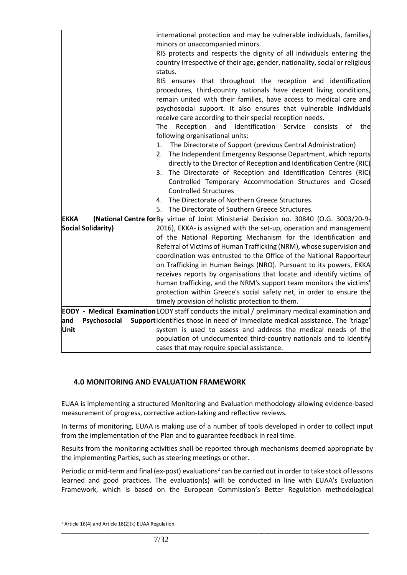|                     | international protection and may be vulnerable individuals, families,                                   |
|---------------------|---------------------------------------------------------------------------------------------------------|
|                     | minors or unaccompanied minors.                                                                         |
|                     | RIS protects and respects the dignity of all individuals entering the                                   |
|                     | country irrespective of their age, gender, nationality, social or religious                             |
|                     | status.                                                                                                 |
|                     | RIS ensures that throughout the reception and identification                                            |
|                     | procedures, third-country nationals have decent living conditions,                                      |
|                     | remain united with their families, have access to medical care and                                      |
|                     | psychosocial support. It also ensures that vulnerable individuals                                       |
|                     | receive care according to their special reception needs.                                                |
|                     | Identification<br>Reception<br>Service<br>The<br>and<br>consists<br>of<br>the                           |
|                     | following organisational units:                                                                         |
|                     | The Directorate of Support (previous Central Administration)<br>1.                                      |
|                     | The Independent Emergency Response Department, which reports<br>2.                                      |
|                     | directly to the Director of Reception and Identification Centre (RIC)                                   |
|                     | The Directorate of Reception and Identification Centres (RIC)<br>З.                                     |
|                     | Controlled Temporary Accommodation Structures and Closed                                                |
|                     | <b>Controlled Structures</b>                                                                            |
|                     | The Directorate of Northern Greece Structures.<br>4.                                                    |
|                     | The Directorate of Southern Greece Structures.<br>5.                                                    |
| <b>EKKA</b>         | (National Centre for By virtue of Joint Ministerial Decision no. 30840 (O.G. 3003/20-9-                 |
| Social Solidarity)  | 2016), EKKA- is assigned with the set-up, operation and management                                      |
|                     | of the National Reporting Mechanism for the Identification and                                          |
|                     | Referral of Victims of Human Trafficking (NRM), whose supervision and                                   |
|                     | coordination was entrusted to the Office of the National Rapporteur                                     |
|                     | on Trafficking in Human Beings (NRO). Pursuant to its powers, EKKA                                      |
|                     | receives reports by organisations that locate and identify victims of                                   |
|                     | human trafficking, and the NRM's support team monitors the victims'                                     |
|                     | protection within Greece's social safety net, in order to ensure the                                    |
|                     | timely provision of holistic protection to them.                                                        |
|                     | <b>EODY</b> - Medical Examination EODY staff conducts the initial / preliminary medical examination and |
| Psychosocial<br>and | Support identifies those in need of immediate medical assistance. The 'triage'                          |
| <b>Unit</b>         | system is used to assess and address the medical needs of the                                           |
|                     | population of undocumented third-country nationals and to identify                                      |
|                     | cases that may require special assistance.                                                              |

## **4.0 MONITORING AND EVALUATION FRAMEWORK**

EUAA is implementing a structured Monitoring and Evaluation methodology allowing evidence-based measurement of progress, corrective action-taking and reflective reviews.

In terms of monitoring, EUAA is making use of a number of tools developed in order to collect input from the implementation of the Plan and to guarantee feedback in real time.

Results from the monitoring activities shall be reported through mechanisms deemed appropriate by the implementing Parties, such as steering meetings or other.

Periodic or mid-term and final (ex-post) evaluations<sup>2</sup> can be carried out in order to take stock of lessons learned and good practices. The evaluation(s) will be conducted in line with EUAA's Evaluation Framework, which is based on the European Commission's Better Regulation methodological

\_\_\_\_\_\_\_\_\_\_\_\_\_\_\_\_\_\_\_\_\_\_\_\_\_\_\_\_\_\_\_\_\_\_\_\_\_\_\_\_\_\_\_\_\_\_\_\_\_\_\_\_\_\_\_\_\_\_\_\_\_\_\_\_\_\_\_\_\_\_\_\_\_\_\_\_\_\_\_\_\_\_\_\_\_\_\_\_\_\_\_\_\_\_\_\_\_\_\_\_

 $\mathbf{I}$ 

<sup>&</sup>lt;sup>2</sup> Article 16(4) and Article 18(2)(k) EUAA Regulation.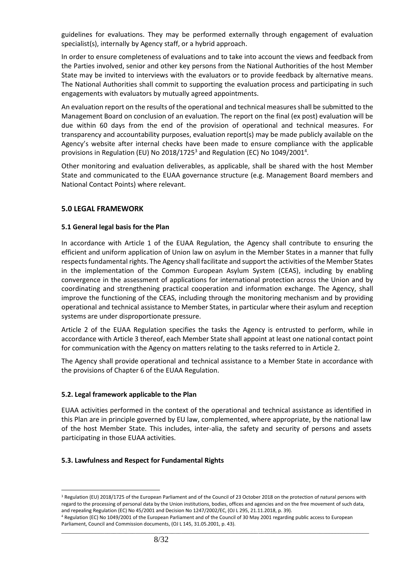guidelines for evaluations. They may be performed externally through engagement of evaluation specialist(s), internally by Agency staff, or a hybrid approach.

In order to ensure completeness of evaluations and to take into account the views and feedback from the Parties involved, senior and other key persons from the National Authorities of the host Member State may be invited to interviews with the evaluators or to provide feedback by alternative means. The National Authorities shall commit to supporting the evaluation process and participating in such engagements with evaluators by mutually agreed appointments.

An evaluation report on the results of the operational and technical measures shall be submitted to the Management Board on conclusion of an evaluation. The report on the final (ex post) evaluation will be due within 60 days from the end of the provision of operational and technical measures. For transparency and accountability purposes, evaluation report(s) may be made publicly available on the Agency's website after internal checks have been made to ensure compliance with the applicable provisions in Regulation (EU) No 2018/1725<sup>3</sup> and Regulation (EC) No 1049/2001<sup>4</sup>.

Other monitoring and evaluation deliverables, as applicable, shall be shared with the host Member State and communicated to the EUAA governance structure (e.g. Management Board members and National Contact Points) where relevant.

#### **5.0 LEGAL FRAMEWORK**

#### **5.1 General legal basis for the Plan**

In accordance with Article 1 of the EUAA Regulation, the Agency shall contribute to ensuring the efficient and uniform application of Union law on asylum in the Member States in a manner that fully respects fundamental rights. The Agency shall facilitate and support the activities of the Member States in the implementation of the Common European Asylum System (CEAS), including by enabling convergence in the assessment of applications for international protection across the Union and by coordinating and strengthening practical cooperation and information exchange. The Agency, shall improve the functioning of the CEAS, including through the monitoring mechanism and by providing operational and technical assistance to Member States, in particular where their asylum and reception systems are under disproportionate pressure.

Article 2 of the EUAA Regulation specifies the tasks the Agency is entrusted to perform, while in accordance with Article 3 thereof, each Member State shall appoint at least one national contact point for communication with the Agency on matters relating to the tasks referred to in Article 2.

The Agency shall provide operational and technical assistance to a Member State in accordance with the provisions of Chapter 6 of the EUAA Regulation.

#### **5.2. Legal framework applicable to the Plan**

EUAA activities performed in the context of the operational and technical assistance as identified in this Plan are in principle governed by EU law, complemented, where appropriate, by the national law of the host Member State. This includes, inter-alia, the safety and security of persons and assets participating in those EUAA activities.

#### **5.3. Lawfulness and Respect for Fundamental Rights**

<sup>&</sup>lt;sup>3</sup> Regulation (EU) 2018/1725 of the European Parliament and of the Council of 23 October 2018 on the protection of natural persons with regard to the processing of personal data by the Union institutions, bodies, offices and agencies and on the free movement of such data, and repealing Regulation (EC) No 45/2001 and Decision No 1247/2002/EC, (OJ L 295, 21.11.2018, p. 39).

<sup>4</sup> Regulation (EC) No 1049/2001 of the European Parliament and of the Council of 30 May 2001 regarding public access to European Parliament, Council and Commission documents, (OJ L 145, 31.05.2001, p. 43).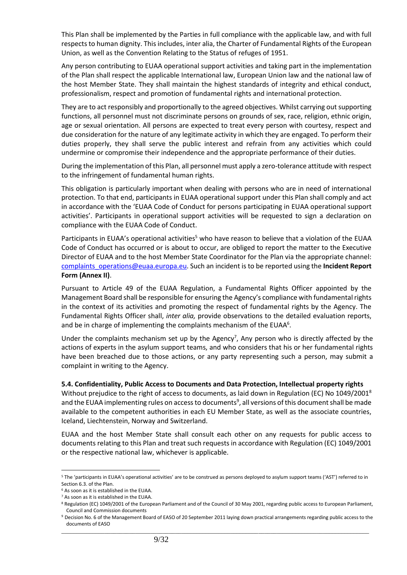This Plan shall be implemented by the Parties in full compliance with the applicable law, and with full respects to human dignity. This includes, inter alia, the Charter of Fundamental Rights of the European Union, as well as the Convention Relating to the Status of refuges of 1951.

Any person contributing to EUAA operational support activities and taking part in the implementation of the Plan shall respect the applicable International law, European Union law and the national law of the host Member State. They shall maintain the highest standards of integrity and ethical conduct, professionalism, respect and promotion of fundamental rights and international protection.

They are to act responsibly and proportionally to the agreed objectives. Whilst carrying out supporting functions, all personnel must not discriminate persons on grounds of sex, race, religion, ethnic origin, age or sexual orientation. All persons are expected to treat every person with courtesy, respect and due consideration for the nature of any legitimate activity in which they are engaged. To perform their duties properly, they shall serve the public interest and refrain from any activities which could undermine or compromise their independence and the appropriate performance of their duties.

During the implementation of this Plan, all personnel must apply a zero-tolerance attitude with respect to the infringement of fundamental human rights.

This obligation is particularly important when dealing with persons who are in need of international protection. To that end, participants in EUAA operational support under this Plan shall comply and act in accordance with the 'EUAA Code of Conduct for persons participating in EUAA operational support activities'. Participants in operational support activities will be requested to sign a declaration on compliance with the EUAA Code of Conduct.

Participants in EUAA's operational activities<sup>5</sup> who have reason to believe that a violation of the EUAA Code of Conduct has occurred or is about to occur, are obliged to report the matter to the Executive Director of EUAA and to the host Member State Coordinator for the Plan via the appropriate channel: [complaints\\_operations@euaa.europa.eu.](mailto:complaints_operations@euaa.europa.eu) Such an incident is to be reported using the **Incident Report Form (Annex II)**.

Pursuant to Article 49 of the EUAA Regulation, a Fundamental Rights Officer appointed by the Management Board shall be responsible for ensuring the Agency's compliance with fundamental rights in the context of its activities and promoting the respect of fundamental rights by the Agency. The Fundamental Rights Officer shall, *inter alia,* provide observations to the detailed evaluation reports, and be in charge of implementing the complaints mechanism of the EUAA $6$ .

Under the complaints mechanism set up by the Agency<sup>7</sup>, Any person who is directly affected by the actions of experts in the asylum support teams, and who considers that his or her fundamental rights have been breached due to those actions, or any party representing such a person, may submit a complaint in writing to the Agency.

#### **5.4. Confidentiality, Public Access to Documents and Data Protection, Intellectual property rights**

Without prejudice to the right of access to documents, as laid down in Regulation (EC) No 1049/2001<sup>8</sup> and the EUAA implementing rules on access to documents<sup>9</sup>, all versions of this document shall be made available to the competent authorities in each EU Member State, as well as the associate countries, Iceland, Liechtenstein, Norway and Switzerland.

EUAA and the host Member State shall consult each other on any requests for public access to documents relating to this Plan and treat such requests in accordance with Regulation (EC) 1049/2001 or the respective national law, whichever is applicable.

<sup>5</sup> The 'participants in EUAA's operational activities' are to be construed as persons deployed to asylum support teams ('AST') referred to in Section 6.3. of the Plan.

<sup>6</sup> As soon as it is established in the EUAA.

 $<sup>7</sup>$  As soon as it is established in the EUAA.</sup>

<sup>&</sup>lt;sup>8</sup> Regulation (EC) 1049/2001 of the European Parliament and of the Council of 30 May 2001, regarding public access to European Parliament, Council and Commission documents

\_\_\_\_\_\_\_\_\_\_\_\_\_\_\_\_\_\_\_\_\_\_\_\_\_\_\_\_\_\_\_\_\_\_\_\_\_\_\_\_\_\_\_\_\_\_\_\_\_\_\_\_\_\_\_\_\_\_\_\_\_\_\_\_\_\_\_\_\_\_\_\_\_\_\_\_\_\_\_\_\_\_\_\_\_\_\_\_\_\_\_\_\_\_\_\_\_\_\_\_ <sup>9</sup> Decision No. 6 of the Management Board of EASO of 20 September 2011 laying down practical arrangements regarding public access to the documents of EASO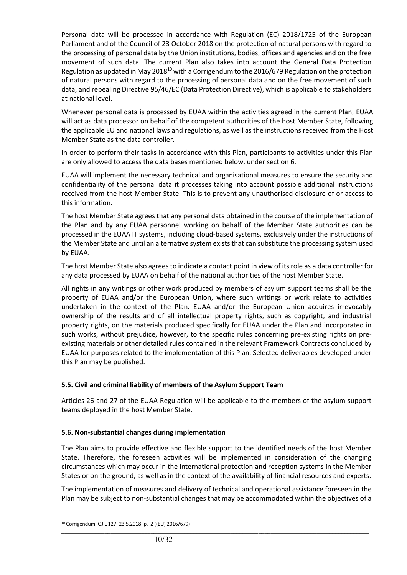Personal data will be processed in accordance with Regulation (EC) 2018/1725 of the European Parliament and of the Council of 23 October 2018 on the protection of natural persons with regard to the processing of personal data by the Union institutions, bodies, offices and agencies and on the free movement of such data. The current Plan also takes into account the General Data Protection Regulation as updated in May 2018<sup>10</sup> with a Corrigendum to the 2016/679 Regulation on the protection of natural persons with regard to the processing of personal data and on the free movement of such data, and repealing Directive 95/46/EC (Data Protection Directive), which is applicable to stakeholders at national level.

Whenever personal data is processed by EUAA within the activities agreed in the current Plan, EUAA will act as data processor on behalf of the competent authorities of the host Member State, following the applicable EU and national laws and regulations, as well as the instructions received from the Host Member State as the data controller.

In order to perform their tasks in accordance with this Plan, participants to activities under this Plan are only allowed to access the data bases mentioned below, under section 6.

EUAA will implement the necessary technical and organisational measures to ensure the security and confidentiality of the personal data it processes taking into account possible additional instructions received from the host Member State. This is to prevent any unauthorised disclosure of or access to this information.

The host Member State agrees that any personal data obtained in the course of the implementation of the Plan and by any EUAA personnel working on behalf of the Member State authorities can be processed in the EUAA IT systems, including cloud-based systems, exclusively under the instructions of the Member State and until an alternative system exists that can substitute the processing system used by EUAA.

The host Member State also agrees to indicate a contact point in view of its role as a data controller for any data processed by EUAA on behalf of the national authorities of the host Member State.

All rights in any writings or other work produced by members of asylum support teams shall be the property of EUAA and/or the European Union, where such writings or work relate to activities undertaken in the context of the Plan. EUAA and/or the European Union acquires irrevocably ownership of the results and of all intellectual property rights, such as copyright, and industrial property rights, on the materials produced specifically for EUAA under the Plan and incorporated in such works, without prejudice, however, to the specific rules concerning pre-existing rights on preexisting materials or other detailed rules contained in the relevant Framework Contracts concluded by EUAA for purposes related to the implementation of this Plan. Selected deliverables developed under this Plan may be published.

#### **5.5. Civil and criminal liability of members of the Asylum Support Team**

Articles 26 and 27 of the EUAA Regulation will be applicable to the members of the asylum support teams deployed in the host Member State.

#### **5.6. Non-substantial changes during implementation**

The Plan aims to provide effective and flexible support to the identified needs of the host Member State. Therefore, the foreseen activities will be implemented in consideration of the changing circumstances which may occur in the international protection and reception systems in the Member States or on the ground, as well as in the context of the availability of financial resources and experts.

The implementation of measures and delivery of technical and operational assistance foreseen in the Plan may be subject to non-substantial changes that may be accommodated within the objectives of a

<sup>10</sup> Corrigendum, OJ L 127, 23.5.2018, p. 2 ((EU) 2016/679)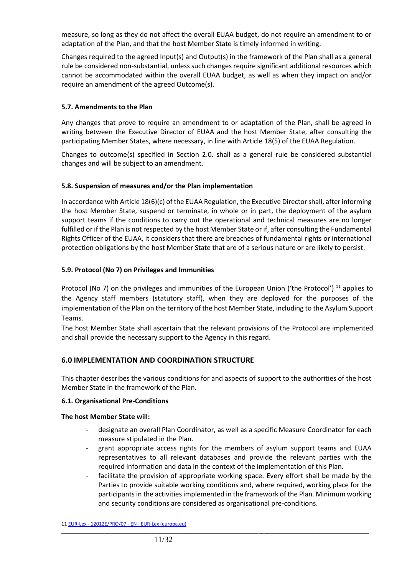measure, so long as they do not affect the overall EUAA budget, do not require an amendment to or adaptation of the Plan, and that the host Member State is timely informed in writing.

Changes required to the agreed Input(s) and Output(s) in the framework of the Plan shall as a general rule be considered non-substantial, unless such changes require significant additional resources which cannot be accommodated within the overall EUAA budget, as well as when they impact on and/or require an amendment of the agreed Outcome(s).

## **5.7. Amendments to the Plan**

Any changes that prove to require an amendment to or adaptation of the Plan, shall be agreed in writing between the Executive Director of EUAA and the host Member State, after consulting the participating Member States, where necessary, in line with Article 18(5) of the EUAA Regulation.

Changes to outcome(s) specified in Section 2.0. shall as a general rule be considered substantial changes and will be subject to an amendment.

## **5.8. Suspension of measures and/or the Plan implementation**

In accordance with Article 18(6)(c) of the EUAA Regulation, the Executive Director shall, after informing the host Member State, suspend or terminate, in whole or in part, the deployment of the asylum support teams if the conditions to carry out the operational and technical measures are no longer fulfilled or if the Plan is not respected by the host Member State or if, after consulting the Fundamental Rights Officer of the EUAA, it considers that there are breaches of fundamental rights or international protection obligations by the host Member State that are of a serious nature or are likely to persist.

## **5.9. Protocol (No 7) on Privileges and Immunities**

Protocol (No 7) on the privileges and immunities of the European Union ('the Protocol') <sup>11</sup> applies to the Agency staff members (statutory staff), when they are deployed for the purposes of the implementation of the Plan on the territory of the host Member State, including to the Asylum Support Teams.

The host Member State shall ascertain that the relevant provisions of the Protocol are implemented and shall provide the necessary support to the Agency in this regard.

## **6.0 IMPLEMENTATION AND COORDINATION STRUCTURE**

This chapter describes the various conditions for and aspects of support to the authorities of the host Member State in the framework of the Plan.

#### **6.1. Organisational Pre-Conditions**

#### **The host Member State will:**

- designate an overall Plan Coordinator, as well as a specific Measure Coordinator for each measure stipulated in the Plan.
- grant appropriate access rights for the members of asylum support teams and EUAA representatives to all relevant databases and provide the relevant parties with the required information and data in the context of the implementation of this Plan.
- facilitate the provision of appropriate working space. Every effort shall be made by the Parties to provide suitable working conditions and, where required, working place for the participants in the activities implemented in the framework of the Plan. Minimum working and security conditions are considered as organisational pre-conditions.

<sup>11</sup> EUR-Lex - 12012E/PRO/07 - EN - [EUR-Lex \(europa.eu\)](https://eur-lex.europa.eu/legal-content/EN/TXT/?uri=CELEX:12012E/PRO/07)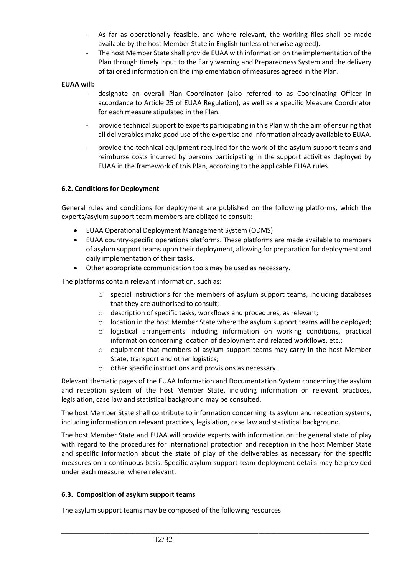- As far as operationally feasible, and where relevant, the working files shall be made available by the host Member State in English (unless otherwise agreed).
- The host Member State shall provide EUAA with information on the implementation of the Plan through timely input to the Early warning and Preparedness System and the delivery of tailored information on the implementation of measures agreed in the Plan.

#### **EUAA will:**

- designate an overall Plan Coordinator (also referred to as Coordinating Officer in accordance to Article 25 of EUAA Regulation), as well as a specific Measure Coordinator for each measure stipulated in the Plan.
- provide technical support to experts participating in this Plan with the aim of ensuring that all deliverables make good use of the expertise and information already available to EUAA.
- provide the technical equipment required for the work of the asylum support teams and reimburse costs incurred by persons participating in the support activities deployed by EUAA in the framework of this Plan, according to the applicable EUAA rules.

#### **6.2. Conditions for Deployment**

General rules and conditions for deployment are published on the following platforms, which the experts/asylum support team members are obliged to consult:

- EUAA Operational Deployment Management System (ODMS)
- EUAA country-specific operations platforms. These platforms are made available to members of asylum support teams upon their deployment, allowing for preparation for deployment and daily implementation of their tasks.
- Other appropriate communication tools may be used as necessary.

The platforms contain relevant information, such as:

- $\circ$  special instructions for the members of asylum support teams, including databases that they are authorised to consult;
- o description of specific tasks, workflows and procedures, as relevant;
- $\circ$  location in the host Member State where the asylum support teams will be deployed;
- $\circ$  logistical arrangements including information on working conditions, practical information concerning location of deployment and related workflows, etc.;
- $\circ$  equipment that members of asylum support teams may carry in the host Member State, transport and other logistics;
- o other specific instructions and provisions as necessary.

Relevant thematic pages of the EUAA Information and Documentation System concerning the asylum and reception system of the host Member State, including information on relevant practices, legislation, case law and statistical background may be consulted.

The host Member State shall contribute to information concerning its asylum and reception systems, including information on relevant practices, legislation, case law and statistical background.

The host Member State and EUAA will provide experts with information on the general state of play with regard to the procedures for international protection and reception in the host Member State and specific information about the state of play of the deliverables as necessary for the specific measures on a continuous basis. Specific asylum support team deployment details may be provided under each measure, where relevant.

\_\_\_\_\_\_\_\_\_\_\_\_\_\_\_\_\_\_\_\_\_\_\_\_\_\_\_\_\_\_\_\_\_\_\_\_\_\_\_\_\_\_\_\_\_\_\_\_\_\_\_\_\_\_\_\_\_\_\_\_\_\_\_\_\_\_\_\_\_\_\_\_\_\_\_\_\_\_\_\_\_\_\_\_\_\_\_\_\_\_\_\_\_\_\_\_\_\_\_\_

#### **6.3. Composition of asylum support teams**

The asylum support teams may be composed of the following resources: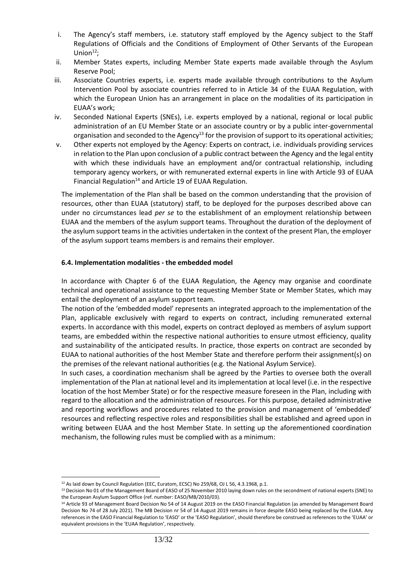- i. The Agency's staff members, i.e. statutory staff employed by the Agency subject to the Staff Regulations of Officials and the Conditions of Employment of Other Servants of the European Union $12$ ;
- ii. Member States experts, including Member State experts made available through the Asylum Reserve Pool;
- iii. Associate Countries experts, i.e. experts made available through contributions to the Asylum Intervention Pool by associate countries referred to in Article 34 of the EUAA Regulation, with which the European Union has an arrangement in place on the modalities of its participation in EUAA's work;
- iv. Seconded National Experts (SNEs), i.e. experts employed by a national, regional or local public administration of an EU Member State or an associate country or by a public inter-governmental organisation and seconded to the Agency<sup>13</sup> for the provision of support to its operational activities;
- v. Other experts not employed by the Agency: Experts on contract, i.e. individuals providing services in relation to the Plan upon conclusion of a public contract between the Agency and the legal entity with which these individuals have an employment and/or contractual relationship, including temporary agency workers, or with remunerated external experts in line with Article 93 of EUAA Financial Regulation<sup>14</sup> and Article 19 of EUAA Regulation.

The implementation of the Plan shall be based on the common understanding that the provision of resources, other than EUAA (statutory) staff, to be deployed for the purposes described above can under no circumstances lead *per se* to the establishment of an employment relationship between EUAA and the members of the asylum support teams. Throughout the duration of the deployment of the asylum support teams in the activities undertaken in the context of the present Plan, the employer of the asylum support teams members is and remains their employer.

#### **6.4. Implementation modalities - the embedded model**

In accordance with Chapter 6 of the EUAA Regulation, the Agency may organise and coordinate technical and operational assistance to the requesting Member State or Member States, which may entail the deployment of an asylum support team.

The notion of the 'embedded model' represents an integrated approach to the implementation of the Plan, applicable exclusively with regard to experts on contract, including remunerated external experts. In accordance with this model, experts on contract deployed as members of asylum support teams, are embedded within the respective national authorities to ensure utmost efficiency, quality and sustainability of the anticipated results. In practice, those experts on contract are seconded by EUAA to national authorities of the host Member State and therefore perform their assignment(s) on the premises of the relevant national authorities (e.g. the National Asylum Service).

In such cases, a coordination mechanism shall be agreed by the Parties to oversee both the overall implementation of the Plan at national level and its implementation at local level (i.e. in the respective location of the host Member State) or for the respective measure foreseen in the Plan, including with regard to the allocation and the administration of resources. For this purpose, detailed administrative and reporting workflows and procedures related to the provision and management of 'embedded' resources and reflecting respective roles and responsibilities shall be established and agreed upon in writing between EUAA and the host Member State. In setting up the aforementioned coordination mechanism, the following rules must be complied with as a minimum:

<sup>&</sup>lt;sup>12</sup> As laid down by Council Regulation (EEC, Euratom, ECSC) No 259/68, OJ L 56, 4.3.1968, p.1.

<sup>&</sup>lt;sup>13</sup> Decision No 01 of the Management Board of EASO of 25 November 2010 laying down rules on the secondment of national experts (SNE) to the European Asylum Support Office (ref. number: EASO/MB/2010/03).

<sup>&</sup>lt;sup>14</sup> Article 93 of Management Board Decision No 54 of 14 August 2019 on the EASO Financial Regulation (as amended by Management Board Decision No 74 of 28 July 2021). The MB Decision nr 54 of 14 August 2019 remains in force despite EASO being replaced by the EUAA. Any references in the EASO Financial Regulation to 'EASO' or the 'EASO Regulation', should therefore be construed as references to the 'EUAA' or equivalent provisions in the 'EUAA Regulation', respectively.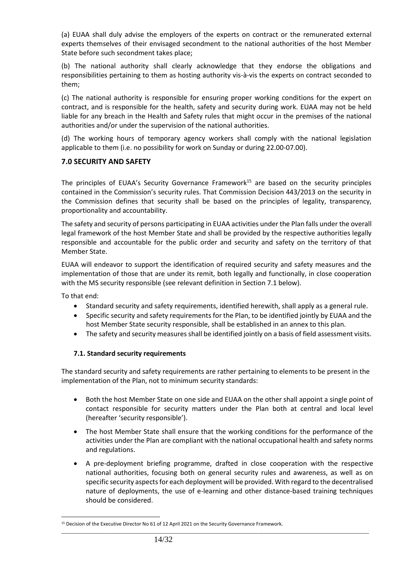(a) EUAA shall duly advise the employers of the experts on contract or the remunerated external experts themselves of their envisaged secondment to the national authorities of the host Member State before such secondment takes place;

(b) The national authority shall clearly acknowledge that they endorse the obligations and responsibilities pertaining to them as hosting authority vis-à-vis the experts on contract seconded to them;

(c) The national authority is responsible for ensuring proper working conditions for the expert on contract, and is responsible for the health, safety and security during work. EUAA may not be held liable for any breach in the Health and Safety rules that might occur in the premises of the national authorities and/or under the supervision of the national authorities.

(d) The working hours of temporary agency workers shall comply with the national legislation applicable to them (i.e. no possibility for work on Sunday or during 22.00-07.00).

## **7.0 SECURITY AND SAFETY**

The principles of EUAA's Security Governance Framework<sup>15</sup> are based on the security principles contained in the Commission's security rules. That Commission Decision 443/2013 on the security in the Commission defines that security shall be based on the principles of legality, transparency, proportionality and accountability.

The safety and security of persons participating in EUAA activities under the Plan falls under the overall legal framework of the host Member State and shall be provided by the respective authorities legally responsible and accountable for the public order and security and safety on the territory of that Member State.

EUAA will endeavor to support the identification of required security and safety measures and the implementation of those that are under its remit, both legally and functionally, in close cooperation with the MS security responsible (see relevant definition in Section 7.1 below).

To that end:

- Standard security and safety requirements, identified herewith, shall apply as a general rule.
- Specific security and safety requirements for the Plan, to be identified jointly by EUAA and the host Member State security responsible, shall be established in an annex to this plan.
- The safety and security measures shall be identified jointly on a basis of field assessment visits.

#### **7.1. Standard security requirements**

The standard security and safety requirements are rather pertaining to elements to be present in the implementation of the Plan, not to minimum security standards:

- Both the host Member State on one side and EUAA on the other shall appoint a single point of contact responsible for security matters under the Plan both at central and local level (hereafter 'security responsible').
- The host Member State shall ensure that the working conditions for the performance of the activities under the Plan are compliant with the national occupational health and safety norms and regulations.
- A pre-deployment briefing programme, drafted in close cooperation with the respective national authorities, focusing both on general security rules and awareness, as well as on specific security aspects for each deployment will be provided. With regard to the decentralised nature of deployments, the use of e-learning and other distance-based training techniques should be considered.

<sup>&</sup>lt;sup>15</sup> Decision of the Executive Director No 61 of 12 April 2021 on the Security Governance Framework.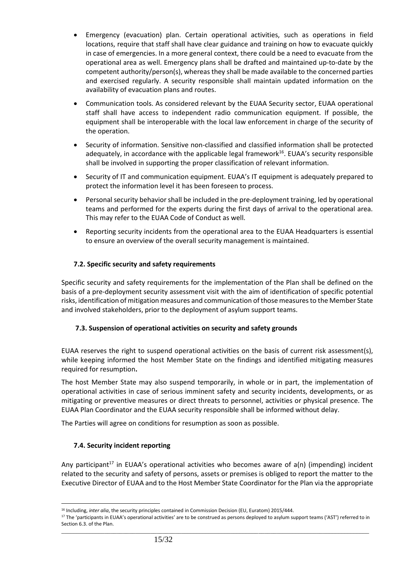- Emergency (evacuation) plan. Certain operational activities, such as operations in field locations, require that staff shall have clear guidance and training on how to evacuate quickly in case of emergencies. In a more general context, there could be a need to evacuate from the operational area as well. Emergency plans shall be drafted and maintained up-to-date by the competent authority/person(s), whereas they shall be made available to the concerned parties and exercised regularly. A security responsible shall maintain updated information on the availability of evacuation plans and routes.
- Communication tools. As considered relevant by the EUAA Security sector, EUAA operational staff shall have access to independent radio communication equipment. If possible, the equipment shall be interoperable with the local law enforcement in charge of the security of the operation.
- Security of information. Sensitive non-classified and classified information shall be protected adequately, in accordance with the applicable legal framework<sup>16</sup>. EUAA's security responsible shall be involved in supporting the proper classification of relevant information.
- Security of IT and communication equipment. EUAA's IT equipment is adequately prepared to protect the information level it has been foreseen to process.
- Personal security behavior shall be included in the pre-deployment training, led by operational teams and performed for the experts during the first days of arrival to the operational area. This may refer to the EUAA Code of Conduct as well.
- Reporting security incidents from the operational area to the EUAA Headquarters is essential to ensure an overview of the overall security management is maintained.

## **7.2. Specific security and safety requirements**

Specific security and safety requirements for the implementation of the Plan shall be defined on the basis of a pre-deployment security assessment visit with the aim of identification of specific potential risks, identification of mitigation measures and communication of those measures to the Member State and involved stakeholders, prior to the deployment of asylum support teams.

#### **7.3. Suspension of operational activities on security and safety grounds**

EUAA reserves the right to suspend operational activities on the basis of current risk assessment(s), while keeping informed the host Member State on the findings and identified mitigating measures required for resumption**.**

The host Member State may also suspend temporarily, in whole or in part, the implementation of operational activities in case of serious imminent safety and security incidents, developments, or as mitigating or preventive measures or direct threats to personnel, activities or physical presence. The EUAA Plan Coordinator and the EUAA security responsible shall be informed without delay.

The Parties will agree on conditions for resumption as soon as possible.

#### **7.4. Security incident reporting**

Any participant<sup>17</sup> in EUAA's operational activities who becomes aware of  $a(n)$  (impending) incident related to the security and safety of persons, assets or premises is obliged to report the matter to the Executive Director of EUAA and to the Host Member State Coordinator for the Plan via the appropriate

<sup>&</sup>lt;sup>16</sup> Including, *inter alia*, the security principles contained in Commission Decision (EU, Euratom) 2015/444.

\_\_\_\_\_\_\_\_\_\_\_\_\_\_\_\_\_\_\_\_\_\_\_\_\_\_\_\_\_\_\_\_\_\_\_\_\_\_\_\_\_\_\_\_\_\_\_\_\_\_\_\_\_\_\_\_\_\_\_\_\_\_\_\_\_\_\_\_\_\_\_\_\_\_\_\_\_\_\_\_\_\_\_\_\_\_\_\_\_\_\_\_\_\_\_\_\_\_\_\_  $17$  The 'participants in EUAA's operational activities' are to be construed as persons deployed to asylum support teams ('AST') referred to in Section 6.3. of the Plan.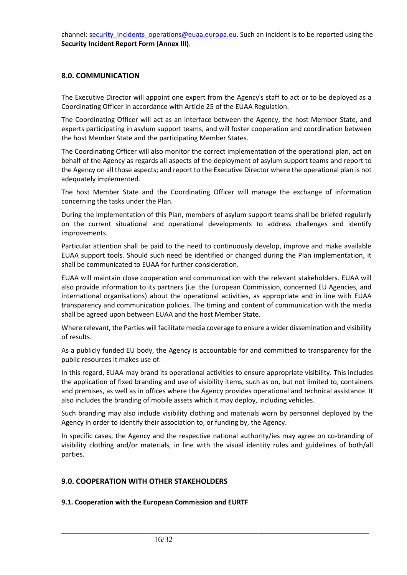channel: security incidents operations@euaa.europa.eu. Such an incident is to be reported using the **Security Incident Report Form (Annex III)**.

## **8.0. COMMUNICATION**

The Executive Director will appoint one expert from the Agency's staff to act or to be deployed as a Coordinating Officer in accordance with Article 25 of the EUAA Regulation.

The Coordinating Officer will act as an interface between the Agency, the host Member State, and experts participating in asylum support teams, and will foster cooperation and coordination between the host Member State and the participating Member States.

The Coordinating Officer will also monitor the correct implementation of the operational plan, act on behalf of the Agency as regards all aspects of the deployment of asylum support teams and report to the Agency on all those aspects; and report to the Executive Director where the operational plan is not adequately implemented.

The host Member State and the Coordinating Officer will manage the exchange of information concerning the tasks under the Plan.

During the implementation of this Plan, members of asylum support teams shall be briefed regularly on the current situational and operational developments to address challenges and identify improvements.

Particular attention shall be paid to the need to continuously develop, improve and make available EUAA support tools. Should such need be identified or changed during the Plan implementation, it shall be communicated to EUAA for further consideration.

EUAA will maintain close cooperation and communication with the relevant stakeholders. EUAA will also provide information to its partners (i.e. the European Commission, concerned EU Agencies, and international organisations) about the operational activities, as appropriate and in line with EUAA transparency and communication policies. The timing and content of communication with the media shall be agreed upon between EUAA and the host Member State.

Where relevant, the Parties will facilitate media coverage to ensure a wider dissemination and visibility of results.

As a publicly funded EU body, the Agency is accountable for and committed to transparency for the public resources it makes use of.

In this regard, EUAA may brand its operational activities to ensure appropriate visibility. This includes the application of fixed branding and use of visibility items, such as on, but not limited to, containers and premises, as well as in offices where the Agency provides operational and technical assistance. It also includes the branding of mobile assets which it may deploy, including vehicles.

Such branding may also include visibility clothing and materials worn by personnel deployed by the Agency in order to identify their association to, or funding by, the Agency.

In specific cases, the Agency and the respective national authority/ies may agree on co-branding of visibility clothing and/or materials, in line with the visual identity rules and guidelines of both/all parties.

\_\_\_\_\_\_\_\_\_\_\_\_\_\_\_\_\_\_\_\_\_\_\_\_\_\_\_\_\_\_\_\_\_\_\_\_\_\_\_\_\_\_\_\_\_\_\_\_\_\_\_\_\_\_\_\_\_\_\_\_\_\_\_\_\_\_\_\_\_\_\_\_\_\_\_\_\_\_\_\_\_\_\_\_\_\_\_\_\_\_\_\_\_\_\_\_\_\_\_\_

## **9.0. COOPERATION WITH OTHER STAKEHOLDERS**

#### **9.1. Cooperation with the European Commission and EURTF**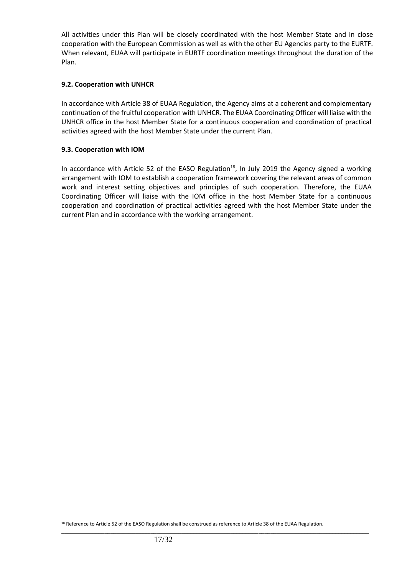All activities under this Plan will be closely coordinated with the host Member State and in close cooperation with the European Commission as well as with the other EU Agencies party to the EURTF. When relevant, EUAA will participate in EURTF coordination meetings throughout the duration of the Plan.

#### **9.2. Cooperation with UNHCR**

In accordance with Article 38 of EUAA Regulation, the Agency aims at a coherent and complementary continuation of the fruitful cooperation with UNHCR. The EUAA Coordinating Officer will liaise with the UNHCR office in the host Member State for a continuous cooperation and coordination of practical activities agreed with the host Member State under the current Plan.

#### **9.3. Cooperation with IOM**

In accordance with Article 52 of the EASO Regulation<sup>18</sup>, In July 2019 the Agency signed a working arrangement with IOM to establish a cooperation framework covering the relevant areas of common work and interest setting objectives and principles of such cooperation. Therefore, the EUAA Coordinating Officer will liaise with the IOM office in the host Member State for a continuous cooperation and coordination of practical activities agreed with the host Member State under the current Plan and in accordance with the working arrangement.

<sup>&</sup>lt;sup>18</sup> Reference to Article 52 of the EASO Regulation shall be construed as reference to Article 38 of the EUAA Regulation.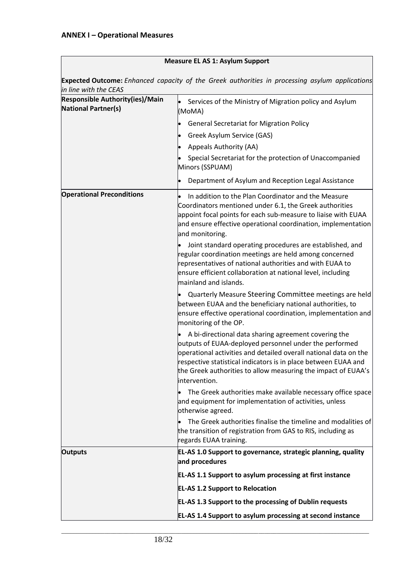| <b>Measure EL AS 1: Asylum Support</b>                                                                                  |                                                                                                                                                                                                                                                                                                                                        |  |
|-------------------------------------------------------------------------------------------------------------------------|----------------------------------------------------------------------------------------------------------------------------------------------------------------------------------------------------------------------------------------------------------------------------------------------------------------------------------------|--|
| Expected Outcome: Enhanced capacity of the Greek authorities in processing asylum applications<br>in line with the CEAS |                                                                                                                                                                                                                                                                                                                                        |  |
| <b>Responsible Authority(ies)/Main</b><br><b>National Partner(s)</b>                                                    | Services of the Ministry of Migration policy and Asylum<br>(MoMA)                                                                                                                                                                                                                                                                      |  |
|                                                                                                                         | <b>General Secretariat for Migration Policy</b>                                                                                                                                                                                                                                                                                        |  |
|                                                                                                                         | Greek Asylum Service (GAS)<br>lo                                                                                                                                                                                                                                                                                                       |  |
|                                                                                                                         | Appeals Authority (AA)                                                                                                                                                                                                                                                                                                                 |  |
|                                                                                                                         | Special Secretariat for the protection of Unaccompanied<br>Minors (SSPUAM)                                                                                                                                                                                                                                                             |  |
|                                                                                                                         | Department of Asylum and Reception Legal Assistance<br>lo                                                                                                                                                                                                                                                                              |  |
| <b>Operational Preconditions</b>                                                                                        | In addition to the Plan Coordinator and the Measure<br>Coordinators mentioned under 6.1, the Greek authorities<br>appoint focal points for each sub-measure to liaise with EUAA<br>and ensure effective operational coordination, implementation<br>and monitoring.                                                                    |  |
|                                                                                                                         | Joint standard operating procedures are established, and<br>regular coordination meetings are held among concerned<br>representatives of national authorities and with EUAA to<br>ensure efficient collaboration at national level, including<br>mainland and islands.                                                                 |  |
|                                                                                                                         | Quarterly Measure Steering Committee meetings are held<br>between EUAA and the beneficiary national authorities, to<br>ensure effective operational coordination, implementation and<br>monitoring of the OP.                                                                                                                          |  |
|                                                                                                                         | A bi-directional data sharing agreement covering the<br>outputs of EUAA-deployed personnel under the performed<br>operational activities and detailed overall national data on the<br>respective statistical indicators is in place between EUAA and<br>the Greek authorities to allow measuring the impact of EUAA's<br>intervention. |  |
|                                                                                                                         | The Greek authorities make available necessary office space<br>and equipment for implementation of activities, unless<br>otherwise agreed.                                                                                                                                                                                             |  |
|                                                                                                                         | The Greek authorities finalise the timeline and modalities of<br>the transition of registration from GAS to RIS, including as<br>regards EUAA training.                                                                                                                                                                                |  |
| <b>Outputs</b>                                                                                                          | EL-AS 1.0 Support to governance, strategic planning, quality<br>and procedures                                                                                                                                                                                                                                                         |  |
|                                                                                                                         | <b>EL-AS 1.1 Support to asylum processing at first instance</b>                                                                                                                                                                                                                                                                        |  |
|                                                                                                                         | <b>EL-AS 1.2 Support to Relocation</b>                                                                                                                                                                                                                                                                                                 |  |
|                                                                                                                         | <b>EL-AS 1.3 Support to the processing of Dublin requests</b>                                                                                                                                                                                                                                                                          |  |
|                                                                                                                         | <b>EL-AS 1.4 Support to asylum processing at second instance</b>                                                                                                                                                                                                                                                                       |  |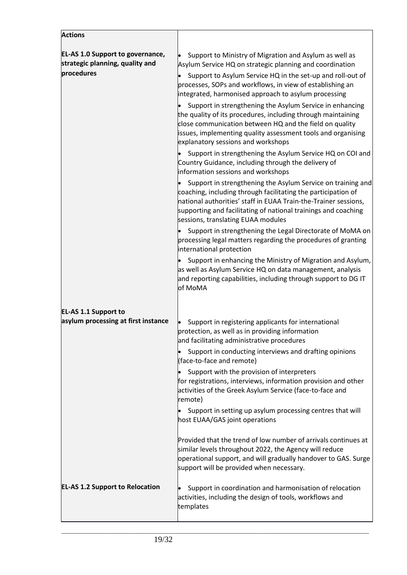| <b>Actions</b>                                                                           |                                                                                                                                                                                                                                                                                                         |
|------------------------------------------------------------------------------------------|---------------------------------------------------------------------------------------------------------------------------------------------------------------------------------------------------------------------------------------------------------------------------------------------------------|
| <b>EL-AS 1.0 Support to governance,</b><br>strategic planning, quality and<br>procedures | Support to Ministry of Migration and Asylum as well as<br>Asylum Service HQ on strategic planning and coordination<br>Support to Asylum Service HQ in the set-up and roll-out of<br>processes, SOPs and workflows, in view of establishing an<br>integrated, harmonised approach to asylum processing   |
|                                                                                          | Support in strengthening the Asylum Service in enhancing<br>the quality of its procedures, including through maintaining<br>close communication between HQ and the field on quality<br>issues, implementing quality assessment tools and organising<br>explanatory sessions and workshops               |
|                                                                                          | Support in strengthening the Asylum Service HQ on COI and<br>Country Guidance, including through the delivery of<br>information sessions and workshops                                                                                                                                                  |
|                                                                                          | Support in strengthening the Asylum Service on training and<br>coaching, including through facilitating the participation of<br>national authorities' staff in EUAA Train-the-Trainer sessions,<br>supporting and facilitating of national trainings and coaching<br>sessions, translating EUAA modules |
|                                                                                          | Support in strengthening the Legal Directorate of MoMA on<br>processing legal matters regarding the procedures of granting<br>international protection                                                                                                                                                  |
|                                                                                          | Support in enhancing the Ministry of Migration and Asylum,<br>as well as Asylum Service HQ on data management, analysis<br>and reporting capabilities, including through support to DG IT<br>of MoMA                                                                                                    |
| <b>EL-AS 1.1 Support to</b>                                                              |                                                                                                                                                                                                                                                                                                         |
| asylum processing at first instance                                                      | Support in registering applicants for international<br>protection, as well as in providing information<br>and facilitating administrative procedures                                                                                                                                                    |
|                                                                                          | Support in conducting interviews and drafting opinions<br>(face-to-face and remote)                                                                                                                                                                                                                     |
|                                                                                          | Support with the provision of interpreters<br>for registrations, interviews, information provision and other<br>activities of the Greek Asylum Service (face-to-face and<br>remote)                                                                                                                     |
|                                                                                          | Support in setting up asylum processing centres that will<br>host EUAA/GAS joint operations                                                                                                                                                                                                             |
|                                                                                          | Provided that the trend of low number of arrivals continues at<br>similar levels throughout 2022, the Agency will reduce<br>operational support, and will gradually handover to GAS. Surge<br>support will be provided when necessary.                                                                  |
| <b>EL-AS 1.2 Support to Relocation</b>                                                   | Support in coordination and harmonisation of relocation<br>activities, including the design of tools, workflows and<br>templates                                                                                                                                                                        |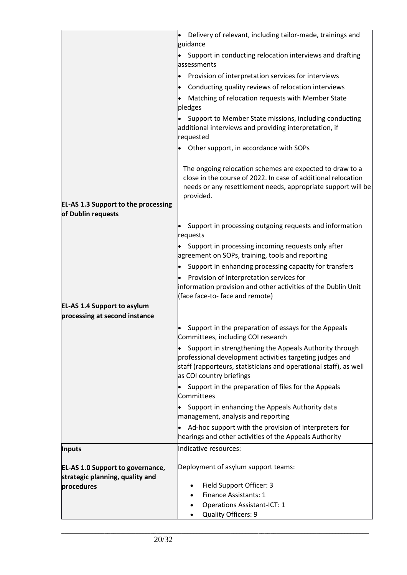|                                                                            | Delivery of relevant, including tailor-made, trainings and<br>$\bullet$                                                                                                                                             |
|----------------------------------------------------------------------------|---------------------------------------------------------------------------------------------------------------------------------------------------------------------------------------------------------------------|
|                                                                            | guidance                                                                                                                                                                                                            |
|                                                                            | Support in conducting relocation interviews and drafting<br>lassessments                                                                                                                                            |
|                                                                            | Provision of interpretation services for interviews<br>$\bullet$                                                                                                                                                    |
|                                                                            | Conducting quality reviews of relocation interviews<br>$\bullet$                                                                                                                                                    |
|                                                                            | Matching of relocation requests with Member State                                                                                                                                                                   |
|                                                                            | pledges                                                                                                                                                                                                             |
|                                                                            | Support to Member State missions, including conducting<br>additional interviews and providing interpretation, if<br>requested                                                                                       |
|                                                                            | Other support, in accordance with SOPs                                                                                                                                                                              |
|                                                                            | The ongoing relocation schemes are expected to draw to a<br>close in the course of 2022. In case of additional relocation<br>needs or any resettlement needs, appropriate support will be<br>provided.              |
| <b>EL-AS 1.3 Support to the processing</b>                                 |                                                                                                                                                                                                                     |
| of Dublin requests                                                         |                                                                                                                                                                                                                     |
|                                                                            | Support in processing outgoing requests and information<br>requests                                                                                                                                                 |
|                                                                            | Support in processing incoming requests only after                                                                                                                                                                  |
|                                                                            | agreement on SOPs, training, tools and reporting                                                                                                                                                                    |
|                                                                            | Support in enhancing processing capacity for transfers<br>$\bullet$                                                                                                                                                 |
|                                                                            | Provision of interpretation services for<br>information provision and other activities of the Dublin Unit<br>(face face-to- face and remote)                                                                        |
| <b>EL-AS 1.4 Support to asylum</b>                                         |                                                                                                                                                                                                                     |
| processing at second instance                                              |                                                                                                                                                                                                                     |
|                                                                            | Support in the preparation of essays for the Appeals<br>Committees, including COI research                                                                                                                          |
|                                                                            | Support in strengthening the Appeals Authority through<br>professional development activities targeting judges and<br>staff (rapporteurs, statisticians and operational staff), as well<br>as COI country briefings |
|                                                                            | Support in the preparation of files for the Appeals<br>Committees                                                                                                                                                   |
|                                                                            | Support in enhancing the Appeals Authority data<br>$\bullet$<br>management, analysis and reporting                                                                                                                  |
|                                                                            | Ad-hoc support with the provision of interpreters for<br>$\bullet$<br>hearings and other activities of the Appeals Authority                                                                                        |
| <b>Inputs</b>                                                              | Indicative resources:                                                                                                                                                                                               |
| <b>EL-AS 1.0 Support to governance,</b><br>strategic planning, quality and | Deployment of asylum support teams:                                                                                                                                                                                 |
| procedures                                                                 | Field Support Officer: 3                                                                                                                                                                                            |
|                                                                            | Finance Assistants: 1                                                                                                                                                                                               |
|                                                                            | <b>Operations Assistant-ICT: 1</b><br>Quality Officers: 9                                                                                                                                                           |
|                                                                            |                                                                                                                                                                                                                     |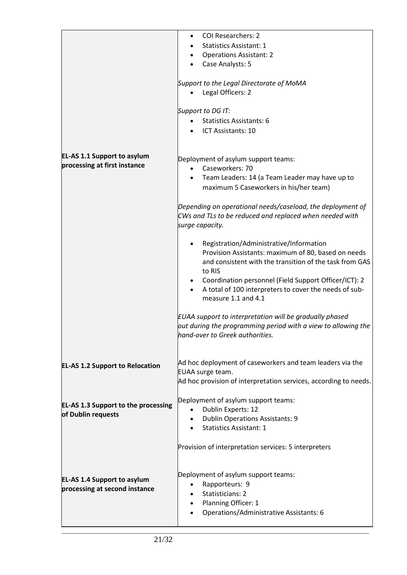|                                                                     | <b>COI Researchers: 2</b><br>$\bullet$<br><b>Statistics Assistant: 1</b><br><b>Operations Assistant: 2</b><br>Case Analysts: 5<br>Support to the Legal Directorate of MoMA<br>Legal Officers: 2<br>Support to DG IT:<br><b>Statistics Assistants: 6</b><br>ICT Assistants: 10                                 |
|---------------------------------------------------------------------|---------------------------------------------------------------------------------------------------------------------------------------------------------------------------------------------------------------------------------------------------------------------------------------------------------------|
| <b>EL-AS 1.1 Support to asylum</b><br>processing at first instance  | Deployment of asylum support teams:<br>Caseworkers: 70<br>Team Leaders: 14 (a Team Leader may have up to<br>maximum 5 Caseworkers in his/her team)                                                                                                                                                            |
|                                                                     | Depending on operational needs/caseload, the deployment of<br>CWs and TLs to be reduced and replaced when needed with<br>surge capacity.                                                                                                                                                                      |
|                                                                     | Registration/Administrative/Information<br>Provision Assistants: maximum of 80, based on needs<br>and consistent with the transition of the task from GAS<br>to RIS<br>Coordination personnel (Field Support Officer/ICT): 2<br>A total of 100 interpreters to cover the needs of sub-<br>measure 1.1 and 4.1 |
|                                                                     | EUAA support to interpretation will be gradually phased<br>out during the programming period with a view to allowing the<br>hand-over to Greek authorities.                                                                                                                                                   |
| <b>EL-AS 1.2 Support to Relocation</b>                              | Ad hoc deployment of caseworkers and team leaders via the<br>EUAA surge team.<br>Ad hoc provision of interpretation services, according to needs.                                                                                                                                                             |
| <b>EL-AS 1.3 Support to the processing</b><br>of Dublin requests    | Deployment of asylum support teams:<br>Dublin Experts: 12<br><b>Dublin Operations Assistants: 9</b><br><b>Statistics Assistant: 1</b>                                                                                                                                                                         |
|                                                                     | Provision of interpretation services: 5 interpreters                                                                                                                                                                                                                                                          |
| <b>EL-AS 1.4 Support to asylum</b><br>processing at second instance | Deployment of asylum support teams:<br>Rapporteurs: 9<br>Statisticians: 2<br>Planning Officer: 1<br>$\bullet$<br>Operations/Administrative Assistants: 6                                                                                                                                                      |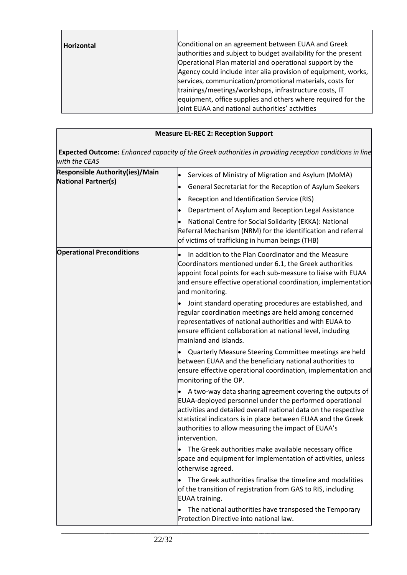| <b>Horizontal</b> | Conditional on an agreement between EUAA and Greek<br>authorities and subject to budget availability for the present<br>Operational Plan material and operational support by the<br>Agency could include inter alia provision of equipment, works,<br>services, communication/promotional materials, costs for<br>trainings/meetings/workshops, infrastructure costs, IT |
|-------------------|--------------------------------------------------------------------------------------------------------------------------------------------------------------------------------------------------------------------------------------------------------------------------------------------------------------------------------------------------------------------------|
|                   | equipment, office supplies and others where required for the<br>joint EUAA and national authorities' activities                                                                                                                                                                                                                                                          |

|                                                                                                                         | <b>Measure EL-REC 2: Reception Support</b>                                                                                                                                                                                                                                                                                                                                                                                 |  |
|-------------------------------------------------------------------------------------------------------------------------|----------------------------------------------------------------------------------------------------------------------------------------------------------------------------------------------------------------------------------------------------------------------------------------------------------------------------------------------------------------------------------------------------------------------------|--|
| Expected Outcome: Enhanced capacity of the Greek authorities in providing reception conditions in line<br>with the CEAS |                                                                                                                                                                                                                                                                                                                                                                                                                            |  |
| <b>Responsible Authority(ies)/Main</b><br><b>National Partner(s)</b>                                                    | Services of Ministry of Migration and Asylum (MoMA)<br>General Secretariat for the Reception of Asylum Seekers<br>$\bullet$<br>Reception and Identification Service (RIS)<br>Department of Asylum and Reception Legal Assistance<br>National Centre for Social Solidarity (EKKA): National<br>$\bullet$<br>Referral Mechanism (NRM) for the identification and referral<br>of victims of trafficking in human beings (THB) |  |
| <b>Operational Preconditions</b>                                                                                        | In addition to the Plan Coordinator and the Measure<br>Coordinators mentioned under 6.1, the Greek authorities<br>appoint focal points for each sub-measure to liaise with EUAA<br>and ensure effective operational coordination, implementation<br>and monitoring.                                                                                                                                                        |  |
|                                                                                                                         | Joint standard operating procedures are established, and<br>regular coordination meetings are held among concerned<br>representatives of national authorities and with EUAA to<br>ensure efficient collaboration at national level, including<br>mainland and islands.                                                                                                                                                     |  |
|                                                                                                                         | Quarterly Measure Steering Committee meetings are held<br>between EUAA and the beneficiary national authorities to<br>ensure effective operational coordination, implementation and<br>monitoring of the OP.                                                                                                                                                                                                               |  |
|                                                                                                                         | A two-way data sharing agreement covering the outputs of<br>EUAA-deployed personnel under the performed operational<br>activities and detailed overall national data on the respective<br>statistical indicators is in place between EUAA and the Greek<br>authorities to allow measuring the impact of EUAA's<br>intervention.                                                                                            |  |
|                                                                                                                         | The Greek authorities make available necessary office<br>space and equipment for implementation of activities, unless<br>otherwise agreed.                                                                                                                                                                                                                                                                                 |  |
|                                                                                                                         | The Greek authorities finalise the timeline and modalities<br>of the transition of registration from GAS to RIS, including<br><b>EUAA</b> training.                                                                                                                                                                                                                                                                        |  |
|                                                                                                                         | The national authorities have transposed the Temporary<br>Protection Directive into national law.                                                                                                                                                                                                                                                                                                                          |  |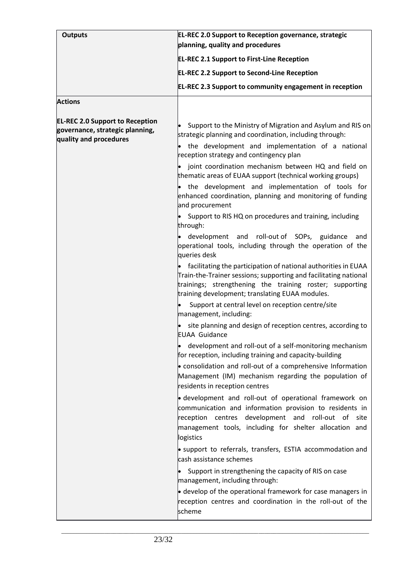| <b>Outputs</b>                                                                                      | <b>EL-REC 2.0 Support to Reception governance, strategic</b><br>planning, quality and procedures                                                                                                                                                  |
|-----------------------------------------------------------------------------------------------------|---------------------------------------------------------------------------------------------------------------------------------------------------------------------------------------------------------------------------------------------------|
|                                                                                                     | <b>EL-REC 2.1 Support to First-Line Reception</b>                                                                                                                                                                                                 |
|                                                                                                     | <b>EL-REC 2.2 Support to Second-Line Reception</b>                                                                                                                                                                                                |
|                                                                                                     | <b>EL-REC 2.3 Support to community engagement in reception</b>                                                                                                                                                                                    |
| <b>Actions</b>                                                                                      |                                                                                                                                                                                                                                                   |
| <b>EL-REC 2.0 Support to Reception</b><br>governance, strategic planning,<br>quality and procedures | Support to the Ministry of Migration and Asylum and RIS on<br>strategic planning and coordination, including through:<br>the development and implementation of a national<br>$\bullet$<br>reception strategy and contingency plan                 |
|                                                                                                     | joint coordination mechanism between HQ and field on<br>thematic areas of EUAA support (technical working groups)                                                                                                                                 |
|                                                                                                     | the development and implementation of tools for<br>$\bullet$<br>enhanced coordination, planning and monitoring of funding<br>and procurement                                                                                                      |
|                                                                                                     | • Support to RIS HQ on procedures and training, including<br>through:                                                                                                                                                                             |
|                                                                                                     | development and roll-out of SOPs, guidance<br>and<br>$\bullet$<br>operational tools, including through the operation of the<br>queries desk                                                                                                       |
|                                                                                                     | facilitating the participation of national authorities in EUAA<br>Train-the-Trainer sessions; supporting and facilitating national<br>trainings; strengthening the training roster; supporting<br>training development; translating EUAA modules. |
|                                                                                                     | Support at central level on reception centre/site<br>management, including:                                                                                                                                                                       |
|                                                                                                     | site planning and design of reception centres, according to<br>FUAA Guidance                                                                                                                                                                      |
|                                                                                                     | $\bullet$ development and roll-out of a self-monitoring mechanism<br>for reception, including training and capacity-building                                                                                                                      |
|                                                                                                     | • consolidation and roll-out of a comprehensive Information<br>Management (IM) mechanism regarding the population of<br>residents in reception centres                                                                                            |
|                                                                                                     | · development and roll-out of operational framework on<br>communication and information provision to residents in<br>reception centres development and roll-out of<br>site<br>management tools, including for shelter allocation and<br>logistics |
|                                                                                                     | • support to referrals, transfers, ESTIA accommodation and<br>cash assistance schemes                                                                                                                                                             |
|                                                                                                     | Support in strengthening the capacity of RIS on case<br>management, including through:                                                                                                                                                            |
|                                                                                                     | • develop of the operational framework for case managers in<br>reception centres and coordination in the roll-out of the<br>scheme                                                                                                                |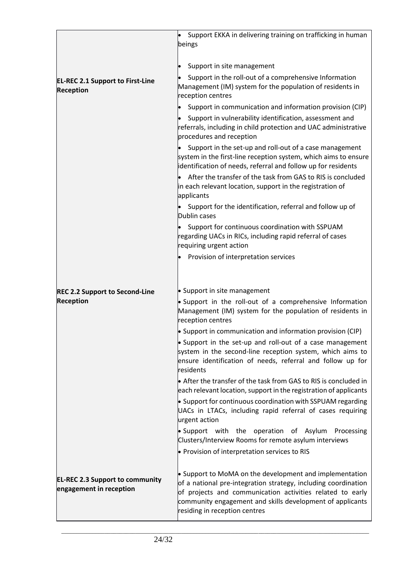|                                                                   | Support EKKA in delivering training on trafficking in human<br>beings                                                                                                                                                                                                                |
|-------------------------------------------------------------------|--------------------------------------------------------------------------------------------------------------------------------------------------------------------------------------------------------------------------------------------------------------------------------------|
|                                                                   | Support in site management                                                                                                                                                                                                                                                           |
| <b>EL-REC 2.1 Support to First-Line</b><br><b>Reception</b>       | Support in the roll-out of a comprehensive Information<br>Management (IM) system for the population of residents in<br>reception centres                                                                                                                                             |
|                                                                   | Support in communication and information provision (CIP)                                                                                                                                                                                                                             |
|                                                                   | Support in vulnerability identification, assessment and<br>referrals, including in child protection and UAC administrative<br>procedures and reception                                                                                                                               |
|                                                                   | Support in the set-up and roll-out of a case management<br>system in the first-line reception system, which aims to ensure<br>identification of needs, referral and follow up for residents                                                                                          |
|                                                                   | After the transfer of the task from GAS to RIS is concluded<br>in each relevant location, support in the registration of<br>applicants                                                                                                                                               |
|                                                                   | Support for the identification, referral and follow up of<br>Dublin cases                                                                                                                                                                                                            |
|                                                                   | Support for continuous coordination with SSPUAM<br>regarding UACs in RICs, including rapid referral of cases<br>requiring urgent action                                                                                                                                              |
|                                                                   | Provision of interpretation services                                                                                                                                                                                                                                                 |
| <b>REC 2.2 Support to Second-Line</b>                             | • Support in site management                                                                                                                                                                                                                                                         |
| <b>Reception</b>                                                  | $\bullet$ Support in the roll-out of a comprehensive Information<br>Management (IM) system for the population of residents in<br>reception centres                                                                                                                                   |
|                                                                   | $\bullet$ Support in communication and information provision (CIP)                                                                                                                                                                                                                   |
|                                                                   | • Support in the set-up and roll-out of a case management<br>system in the second-line reception system, which aims to<br>ensure identification of needs, referral and follow up for<br><b>residents</b>                                                                             |
|                                                                   | $\bullet$ After the transfer of the task from GAS to RIS is concluded in<br>each relevant location, support in the registration of applicants                                                                                                                                        |
|                                                                   | $\bullet$ Support for continuous coordination with SSPUAM regarding<br>UACs in LTACs, including rapid referral of cases requiring<br>urgent action                                                                                                                                   |
|                                                                   | • Support with the operation of Asylum<br>Processing<br>Clusters/Interview Rooms for remote asylum interviews                                                                                                                                                                        |
|                                                                   | • Provision of interpretation services to RIS                                                                                                                                                                                                                                        |
| <b>EL-REC 2.3 Support to community</b><br>engagement in reception | • Support to MoMA on the development and implementation<br>of a national pre-integration strategy, including coordination<br>of projects and communication activities related to early<br>community engagement and skills development of applicants<br>residing in reception centres |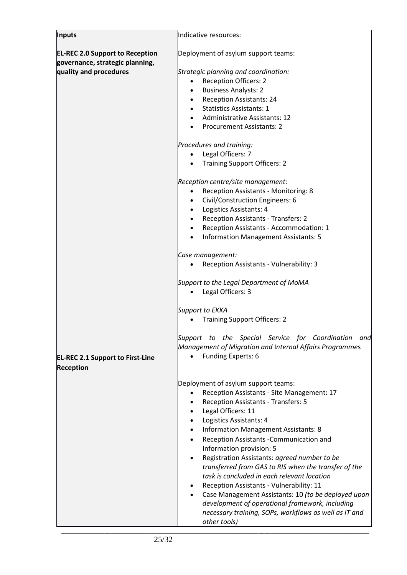| <b>EL-REC 2.0 Support to Reception</b><br>Deployment of asylum support teams:<br>governance, strategic planning,<br>quality and procedures<br>Strategic planning and coordination:<br><b>Reception Officers: 2</b><br>$\bullet$<br><b>Business Analysts: 2</b><br><b>Reception Assistants: 24</b><br><b>Statistics Assistants: 1</b><br><b>Administrative Assistants: 12</b><br><b>Procurement Assistants: 2</b><br>Procedures and training:<br>Legal Officers: 7<br>$\bullet$<br><b>Training Support Officers: 2</b><br>Reception centre/site management:<br>Reception Assistants - Monitoring: 8<br>$\bullet$<br>Civil/Construction Engineers: 6<br>Logistics Assistants: 4<br>$\bullet$<br>Reception Assistants - Transfers: 2<br>$\bullet$<br>Reception Assistants - Accommodation: 1<br>$\bullet$ |
|--------------------------------------------------------------------------------------------------------------------------------------------------------------------------------------------------------------------------------------------------------------------------------------------------------------------------------------------------------------------------------------------------------------------------------------------------------------------------------------------------------------------------------------------------------------------------------------------------------------------------------------------------------------------------------------------------------------------------------------------------------------------------------------------------------|
|                                                                                                                                                                                                                                                                                                                                                                                                                                                                                                                                                                                                                                                                                                                                                                                                        |
|                                                                                                                                                                                                                                                                                                                                                                                                                                                                                                                                                                                                                                                                                                                                                                                                        |
|                                                                                                                                                                                                                                                                                                                                                                                                                                                                                                                                                                                                                                                                                                                                                                                                        |
|                                                                                                                                                                                                                                                                                                                                                                                                                                                                                                                                                                                                                                                                                                                                                                                                        |
|                                                                                                                                                                                                                                                                                                                                                                                                                                                                                                                                                                                                                                                                                                                                                                                                        |
|                                                                                                                                                                                                                                                                                                                                                                                                                                                                                                                                                                                                                                                                                                                                                                                                        |
|                                                                                                                                                                                                                                                                                                                                                                                                                                                                                                                                                                                                                                                                                                                                                                                                        |
|                                                                                                                                                                                                                                                                                                                                                                                                                                                                                                                                                                                                                                                                                                                                                                                                        |
|                                                                                                                                                                                                                                                                                                                                                                                                                                                                                                                                                                                                                                                                                                                                                                                                        |
|                                                                                                                                                                                                                                                                                                                                                                                                                                                                                                                                                                                                                                                                                                                                                                                                        |
|                                                                                                                                                                                                                                                                                                                                                                                                                                                                                                                                                                                                                                                                                                                                                                                                        |
|                                                                                                                                                                                                                                                                                                                                                                                                                                                                                                                                                                                                                                                                                                                                                                                                        |
|                                                                                                                                                                                                                                                                                                                                                                                                                                                                                                                                                                                                                                                                                                                                                                                                        |
|                                                                                                                                                                                                                                                                                                                                                                                                                                                                                                                                                                                                                                                                                                                                                                                                        |
|                                                                                                                                                                                                                                                                                                                                                                                                                                                                                                                                                                                                                                                                                                                                                                                                        |
|                                                                                                                                                                                                                                                                                                                                                                                                                                                                                                                                                                                                                                                                                                                                                                                                        |
| <b>Information Management Assistants: 5</b><br>$\bullet$                                                                                                                                                                                                                                                                                                                                                                                                                                                                                                                                                                                                                                                                                                                                               |
|                                                                                                                                                                                                                                                                                                                                                                                                                                                                                                                                                                                                                                                                                                                                                                                                        |
| Case management:                                                                                                                                                                                                                                                                                                                                                                                                                                                                                                                                                                                                                                                                                                                                                                                       |
| Reception Assistants - Vulnerability: 3                                                                                                                                                                                                                                                                                                                                                                                                                                                                                                                                                                                                                                                                                                                                                                |
| Support to the Legal Department of MoMA<br>Legal Officers: 3                                                                                                                                                                                                                                                                                                                                                                                                                                                                                                                                                                                                                                                                                                                                           |
| Support to EKKA                                                                                                                                                                                                                                                                                                                                                                                                                                                                                                                                                                                                                                                                                                                                                                                        |
| <b>Training Support Officers: 2</b>                                                                                                                                                                                                                                                                                                                                                                                                                                                                                                                                                                                                                                                                                                                                                                    |
| Support to the Special Service for Coordination and<br>Management of Migration and Internal Affairs Programmes                                                                                                                                                                                                                                                                                                                                                                                                                                                                                                                                                                                                                                                                                         |
| Funding Experts: 6<br><b>EL-REC 2.1 Support to First-Line</b><br><b>Reception</b>                                                                                                                                                                                                                                                                                                                                                                                                                                                                                                                                                                                                                                                                                                                      |
| Deployment of asylum support teams:                                                                                                                                                                                                                                                                                                                                                                                                                                                                                                                                                                                                                                                                                                                                                                    |
| Reception Assistants - Site Management: 17                                                                                                                                                                                                                                                                                                                                                                                                                                                                                                                                                                                                                                                                                                                                                             |
| Reception Assistants - Transfers: 5                                                                                                                                                                                                                                                                                                                                                                                                                                                                                                                                                                                                                                                                                                                                                                    |
| Legal Officers: 11<br>$\bullet$                                                                                                                                                                                                                                                                                                                                                                                                                                                                                                                                                                                                                                                                                                                                                                        |
| Logistics Assistants: 4<br>$\bullet$                                                                                                                                                                                                                                                                                                                                                                                                                                                                                                                                                                                                                                                                                                                                                                   |
| <b>Information Management Assistants: 8</b><br>$\bullet$                                                                                                                                                                                                                                                                                                                                                                                                                                                                                                                                                                                                                                                                                                                                               |
| Reception Assistants -Communication and<br>$\bullet$                                                                                                                                                                                                                                                                                                                                                                                                                                                                                                                                                                                                                                                                                                                                                   |
| Information provision: 5                                                                                                                                                                                                                                                                                                                                                                                                                                                                                                                                                                                                                                                                                                                                                                               |
| Registration Assistants: agreed number to be                                                                                                                                                                                                                                                                                                                                                                                                                                                                                                                                                                                                                                                                                                                                                           |
| transferred from GAS to RIS when the transfer of the                                                                                                                                                                                                                                                                                                                                                                                                                                                                                                                                                                                                                                                                                                                                                   |
| task is concluded in each relevant location                                                                                                                                                                                                                                                                                                                                                                                                                                                                                                                                                                                                                                                                                                                                                            |
| Reception Assistants - Vulnerability: 11<br>Case Management Assistants: 10 (to be deployed upon                                                                                                                                                                                                                                                                                                                                                                                                                                                                                                                                                                                                                                                                                                        |
| development of operational framework, including                                                                                                                                                                                                                                                                                                                                                                                                                                                                                                                                                                                                                                                                                                                                                        |
| necessary training, SOPs, workflows as well as IT and                                                                                                                                                                                                                                                                                                                                                                                                                                                                                                                                                                                                                                                                                                                                                  |
| other tools)                                                                                                                                                                                                                                                                                                                                                                                                                                                                                                                                                                                                                                                                                                                                                                                           |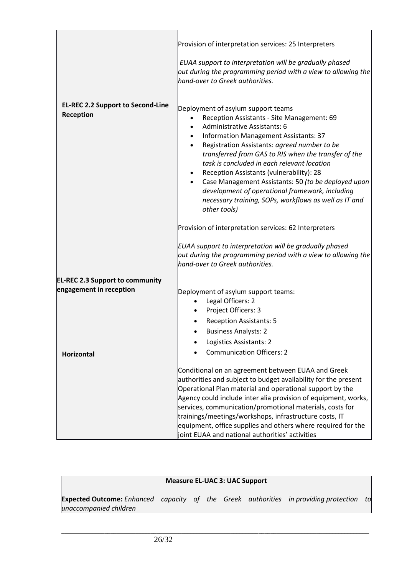|                                                                   | Provision of interpretation services: 25 Interpreters                                                                                                                                                                                                                                                                                                                                                                                                                                                                                                                     |
|-------------------------------------------------------------------|---------------------------------------------------------------------------------------------------------------------------------------------------------------------------------------------------------------------------------------------------------------------------------------------------------------------------------------------------------------------------------------------------------------------------------------------------------------------------------------------------------------------------------------------------------------------------|
|                                                                   | EUAA support to interpretation will be gradually phased<br>out during the programming period with a view to allowing the<br>hand-over to Greek authorities.                                                                                                                                                                                                                                                                                                                                                                                                               |
| <b>EL-REC 2.2 Support to Second-Line</b><br>Reception             | Deployment of asylum support teams<br>Reception Assistants - Site Management: 69<br>Administrative Assistants: 6<br>Information Management Assistants: 37<br>$\bullet$<br>Registration Assistants: agreed number to be<br>$\bullet$<br>transferred from GAS to RIS when the transfer of the<br>task is concluded in each relevant location<br>Reception Assistants (vulnerability): 28<br>Case Management Assistants: 50 (to be deployed upon<br>development of operational framework, including<br>necessary training, SOPs, workflows as well as IT and<br>other tools) |
|                                                                   | Provision of interpretation services: 62 Interpreters                                                                                                                                                                                                                                                                                                                                                                                                                                                                                                                     |
|                                                                   | <b>EUAA support to interpretation will be gradually phased</b><br>out during the programming period with a view to allowing the<br>hand-over to Greek authorities.                                                                                                                                                                                                                                                                                                                                                                                                        |
| <b>EL-REC 2.3 Support to community</b><br>engagement in reception | Deployment of asylum support teams:<br>Legal Officers: 2<br>$\bullet$<br>Project Officers: 3<br><b>Reception Assistants: 5</b><br><b>Business Analysts: 2</b><br>Logistics Assistants: 2                                                                                                                                                                                                                                                                                                                                                                                  |
| Horizontal                                                        | <b>Communication Officers: 2</b>                                                                                                                                                                                                                                                                                                                                                                                                                                                                                                                                          |
|                                                                   | Conditional on an agreement between EUAA and Greek<br>authorities and subject to budget availability for the present<br>Operational Plan material and operational support by the<br>Agency could include inter alia provision of equipment, works,<br>services, communication/promotional materials, costs for<br>trainings/meetings/workshops, infrastructure costs, IT<br>equipment, office supplies and others where required for the<br>joint EUAA and national authorities' activities                                                                               |

## **Measure EL-UAC 3: UAC Support**

**Expected Outcome:** *Enhanced capacity of the Greek authorities in providing protection to unaccompanied children*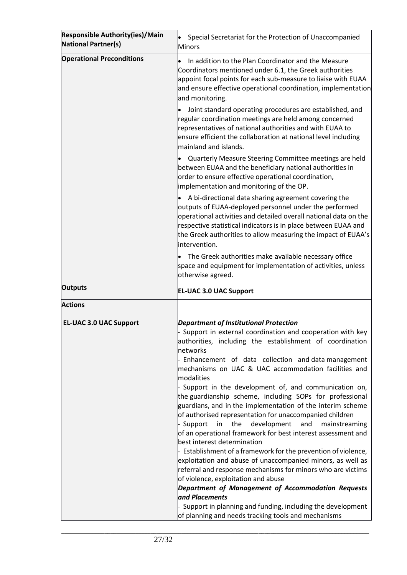| <b>Responsible Authority(ies)/Main</b><br><b>National Partner(s)</b> | Special Secretariat for the Protection of Unaccompanied<br><b>Minors</b>                                                                                                                                                                                                                                                                                                                                                                                                                                                                                                                                                                                                                                                                                                                                                                                                                                                                                                                                                                                                                                                                                   |
|----------------------------------------------------------------------|------------------------------------------------------------------------------------------------------------------------------------------------------------------------------------------------------------------------------------------------------------------------------------------------------------------------------------------------------------------------------------------------------------------------------------------------------------------------------------------------------------------------------------------------------------------------------------------------------------------------------------------------------------------------------------------------------------------------------------------------------------------------------------------------------------------------------------------------------------------------------------------------------------------------------------------------------------------------------------------------------------------------------------------------------------------------------------------------------------------------------------------------------------|
| <b>Operational Preconditions</b>                                     | In addition to the Plan Coordinator and the Measure<br>Coordinators mentioned under 6.1, the Greek authorities<br>appoint focal points for each sub-measure to liaise with EUAA<br>and ensure effective operational coordination, implementation<br>and monitoring.                                                                                                                                                                                                                                                                                                                                                                                                                                                                                                                                                                                                                                                                                                                                                                                                                                                                                        |
|                                                                      | Joint standard operating procedures are established, and<br>regular coordination meetings are held among concerned<br>representatives of national authorities and with EUAA to<br>ensure efficient the collaboration at national level including<br>mainland and islands.                                                                                                                                                                                                                                                                                                                                                                                                                                                                                                                                                                                                                                                                                                                                                                                                                                                                                  |
|                                                                      | Quarterly Measure Steering Committee meetings are held<br>between EUAA and the beneficiary national authorities in<br>order to ensure effective operational coordination,<br>implementation and monitoring of the OP.                                                                                                                                                                                                                                                                                                                                                                                                                                                                                                                                                                                                                                                                                                                                                                                                                                                                                                                                      |
|                                                                      | A bi-directional data sharing agreement covering the<br>outputs of EUAA-deployed personnel under the performed<br>operational activities and detailed overall national data on the<br>respective statistical indicators is in place between EUAA and<br>the Greek authorities to allow measuring the impact of EUAA's<br>lintervention.                                                                                                                                                                                                                                                                                                                                                                                                                                                                                                                                                                                                                                                                                                                                                                                                                    |
|                                                                      | The Greek authorities make available necessary office<br>space and equipment for implementation of activities, unless<br>otherwise agreed.                                                                                                                                                                                                                                                                                                                                                                                                                                                                                                                                                                                                                                                                                                                                                                                                                                                                                                                                                                                                                 |
| <b>Outputs</b>                                                       | <b>EL-UAC 3.0 UAC Support</b>                                                                                                                                                                                                                                                                                                                                                                                                                                                                                                                                                                                                                                                                                                                                                                                                                                                                                                                                                                                                                                                                                                                              |
| <b>Actions</b>                                                       |                                                                                                                                                                                                                                                                                                                                                                                                                                                                                                                                                                                                                                                                                                                                                                                                                                                                                                                                                                                                                                                                                                                                                            |
| <b>EL-UAC 3.0 UAC Support</b>                                        | <b>Department of Institutional Protection</b><br>Support in external coordination and cooperation with key<br>authorities, including the establishment of coordination<br>networks<br>Enhancement of data collection and data management<br>mechanisms on UAC & UAC accommodation facilities and<br>modalities<br>Support in the development of, and communication on,<br>the guardianship scheme, including SOPs for professional<br>guardians, and in the implementation of the interim scheme<br>of authorised representation for unaccompanied children<br>development<br>Support<br>in<br>the<br>and<br>mainstreaming<br>of an operational framework for best interest assessment and<br>best interest determination<br>Establishment of a framework for the prevention of violence,<br>exploitation and abuse of unaccompanied minors, as well as<br>referral and response mechanisms for minors who are victims<br>of violence, exploitation and abuse<br>Department of Management of Accommodation Requests<br>and Placements<br>Support in planning and funding, including the development<br>of planning and needs tracking tools and mechanisms |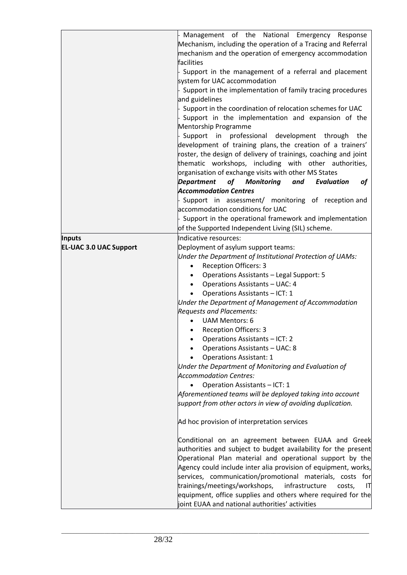|                               | Management of the National Emergency Response<br>Mechanism, including the operation of a Tracing and Referral<br>mechanism and the operation of emergency accommodation<br>facilities<br>Support in the management of a referral and placement<br>system for UAC accommodation<br>Support in the implementation of family tracing procedures<br>and guidelines<br>Support in the coordination of relocation schemes for UAC<br>Support in the implementation and expansion of the<br>Mentorship Programme<br>Support in professional development through<br>the<br>development of training plans, the creation of a trainers'<br>roster, the design of delivery of trainings, coaching and joint<br>thematic workshops, including with other authorities,<br>organisation of exchange visits with other MS States |
|-------------------------------|-------------------------------------------------------------------------------------------------------------------------------------------------------------------------------------------------------------------------------------------------------------------------------------------------------------------------------------------------------------------------------------------------------------------------------------------------------------------------------------------------------------------------------------------------------------------------------------------------------------------------------------------------------------------------------------------------------------------------------------------------------------------------------------------------------------------|
|                               | of Monitoring<br>and<br><b>Department</b><br><b>Evaluation</b><br><b>of</b>                                                                                                                                                                                                                                                                                                                                                                                                                                                                                                                                                                                                                                                                                                                                       |
|                               | <b>Accommodation Centres</b>                                                                                                                                                                                                                                                                                                                                                                                                                                                                                                                                                                                                                                                                                                                                                                                      |
|                               | Support in assessment/ monitoring of reception and                                                                                                                                                                                                                                                                                                                                                                                                                                                                                                                                                                                                                                                                                                                                                                |
|                               | accommodation conditions for UAC                                                                                                                                                                                                                                                                                                                                                                                                                                                                                                                                                                                                                                                                                                                                                                                  |
|                               | Support in the operational framework and implementation                                                                                                                                                                                                                                                                                                                                                                                                                                                                                                                                                                                                                                                                                                                                                           |
|                               | of the Supported Independent Living (SIL) scheme.                                                                                                                                                                                                                                                                                                                                                                                                                                                                                                                                                                                                                                                                                                                                                                 |
| <b>Inputs</b>                 | Indicative resources:                                                                                                                                                                                                                                                                                                                                                                                                                                                                                                                                                                                                                                                                                                                                                                                             |
| <b>EL-UAC 3.0 UAC Support</b> | Deployment of asylum support teams:                                                                                                                                                                                                                                                                                                                                                                                                                                                                                                                                                                                                                                                                                                                                                                               |
|                               | Under the Department of Institutional Protection of UAMs:                                                                                                                                                                                                                                                                                                                                                                                                                                                                                                                                                                                                                                                                                                                                                         |
|                               | <b>Reception Officers: 3</b><br>$\bullet$                                                                                                                                                                                                                                                                                                                                                                                                                                                                                                                                                                                                                                                                                                                                                                         |
|                               | <b>Operations Assistants - Legal Support: 5</b>                                                                                                                                                                                                                                                                                                                                                                                                                                                                                                                                                                                                                                                                                                                                                                   |
|                               | <b>Operations Assistants - UAC: 4</b><br>$\bullet$                                                                                                                                                                                                                                                                                                                                                                                                                                                                                                                                                                                                                                                                                                                                                                |
|                               | Operations Assistants - ICT: 1                                                                                                                                                                                                                                                                                                                                                                                                                                                                                                                                                                                                                                                                                                                                                                                    |
|                               | Under the Department of Management of Accommodation<br><b>Requests and Placements:</b>                                                                                                                                                                                                                                                                                                                                                                                                                                                                                                                                                                                                                                                                                                                            |
|                               | <b>UAM Mentors: 6</b>                                                                                                                                                                                                                                                                                                                                                                                                                                                                                                                                                                                                                                                                                                                                                                                             |
|                               | <b>Reception Officers: 3</b><br>$\bullet$                                                                                                                                                                                                                                                                                                                                                                                                                                                                                                                                                                                                                                                                                                                                                                         |
|                               | Operations Assistants - ICT: 2                                                                                                                                                                                                                                                                                                                                                                                                                                                                                                                                                                                                                                                                                                                                                                                    |
|                               | Operations Assistants - UAC: 8                                                                                                                                                                                                                                                                                                                                                                                                                                                                                                                                                                                                                                                                                                                                                                                    |
|                               | <b>Operations Assistant: 1</b>                                                                                                                                                                                                                                                                                                                                                                                                                                                                                                                                                                                                                                                                                                                                                                                    |
|                               | Under the Department of Monitoring and Evaluation of                                                                                                                                                                                                                                                                                                                                                                                                                                                                                                                                                                                                                                                                                                                                                              |
|                               | <b>Accommodation Centres:</b>                                                                                                                                                                                                                                                                                                                                                                                                                                                                                                                                                                                                                                                                                                                                                                                     |
|                               | Operation Assistants - ICT: 1<br>$\bullet$                                                                                                                                                                                                                                                                                                                                                                                                                                                                                                                                                                                                                                                                                                                                                                        |
|                               | Aforementioned teams will be deployed taking into account                                                                                                                                                                                                                                                                                                                                                                                                                                                                                                                                                                                                                                                                                                                                                         |
|                               | support from other actors in view of avoiding duplication.                                                                                                                                                                                                                                                                                                                                                                                                                                                                                                                                                                                                                                                                                                                                                        |
|                               | Ad hoc provision of interpretation services                                                                                                                                                                                                                                                                                                                                                                                                                                                                                                                                                                                                                                                                                                                                                                       |
|                               | Conditional on an agreement between EUAA and Greek                                                                                                                                                                                                                                                                                                                                                                                                                                                                                                                                                                                                                                                                                                                                                                |
|                               | authorities and subject to budget availability for the present                                                                                                                                                                                                                                                                                                                                                                                                                                                                                                                                                                                                                                                                                                                                                    |
|                               | Operational Plan material and operational support by the                                                                                                                                                                                                                                                                                                                                                                                                                                                                                                                                                                                                                                                                                                                                                          |
|                               | Agency could include inter alia provision of equipment, works,                                                                                                                                                                                                                                                                                                                                                                                                                                                                                                                                                                                                                                                                                                                                                    |
|                               | services, communication/promotional materials, costs for                                                                                                                                                                                                                                                                                                                                                                                                                                                                                                                                                                                                                                                                                                                                                          |
|                               | trainings/meetings/workshops,<br>infrastructure<br>costs,<br>IT                                                                                                                                                                                                                                                                                                                                                                                                                                                                                                                                                                                                                                                                                                                                                   |
|                               | equipment, office supplies and others where required for the                                                                                                                                                                                                                                                                                                                                                                                                                                                                                                                                                                                                                                                                                                                                                      |
|                               | joint EUAA and national authorities' activities                                                                                                                                                                                                                                                                                                                                                                                                                                                                                                                                                                                                                                                                                                                                                                   |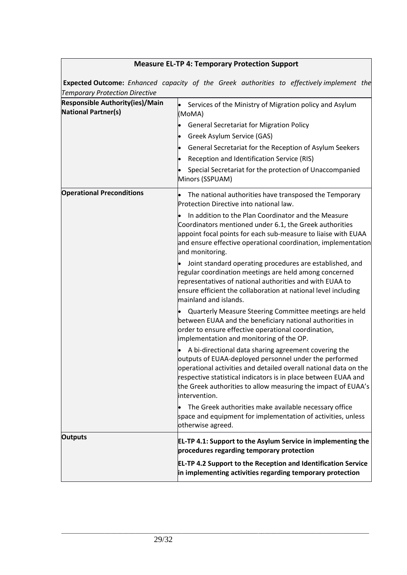| <b>Expected Outcome:</b> Enhanced capacity of the Greek authorities to effectively implement the<br><b>Temporary Protection Directive</b> |                                                                                                                                                                                                                                                                                                                                                                                                                                                                                                                                                                                                                                                                                                                                                                                                                                                                                                                                                                                                                                                                                                                                                                                                                                                                                                                                                                                     |  |
|-------------------------------------------------------------------------------------------------------------------------------------------|-------------------------------------------------------------------------------------------------------------------------------------------------------------------------------------------------------------------------------------------------------------------------------------------------------------------------------------------------------------------------------------------------------------------------------------------------------------------------------------------------------------------------------------------------------------------------------------------------------------------------------------------------------------------------------------------------------------------------------------------------------------------------------------------------------------------------------------------------------------------------------------------------------------------------------------------------------------------------------------------------------------------------------------------------------------------------------------------------------------------------------------------------------------------------------------------------------------------------------------------------------------------------------------------------------------------------------------------------------------------------------------|--|
| <b>Responsible Authority(ies)/Main</b><br><b>National Partner(s)</b>                                                                      | Services of the Ministry of Migration policy and Asylum<br>$\bullet$<br>(MoMA)<br><b>General Secretariat for Migration Policy</b><br>Greek Asylum Service (GAS)<br>$\bullet$<br>General Secretariat for the Reception of Asylum Seekers<br>Reception and Identification Service (RIS)<br>$\bullet$<br>Special Secretariat for the protection of Unaccompanied<br>Minors (SSPUAM)                                                                                                                                                                                                                                                                                                                                                                                                                                                                                                                                                                                                                                                                                                                                                                                                                                                                                                                                                                                                    |  |
| <b>Operational Preconditions</b>                                                                                                          | The national authorities have transposed the Temporary<br>$\bullet$<br>Protection Directive into national law.<br>In addition to the Plan Coordinator and the Measure<br>Coordinators mentioned under 6.1, the Greek authorities<br>appoint focal points for each sub-measure to liaise with EUAA<br>and ensure effective operational coordination, implementation<br>and monitoring.<br>Joint standard operating procedures are established, and<br>regular coordination meetings are held among concerned<br>representatives of national authorities and with EUAA to<br>ensure efficient the collaboration at national level including<br>mainland and islands.<br>Quarterly Measure Steering Committee meetings are held<br>between EUAA and the beneficiary national authorities in<br>order to ensure effective operational coordination,<br>implementation and monitoring of the OP.<br>A bi-directional data sharing agreement covering the<br>outputs of EUAA-deployed personnel under the performed<br>operational activities and detailed overall national data on the<br>respective statistical indicators is in place between EUAA and<br>the Greek authorities to allow measuring the impact of EUAA's<br>intervention.<br>The Greek authorities make available necessary office<br>space and equipment for implementation of activities, unless<br>otherwise agreed. |  |
| <b>Outputs</b>                                                                                                                            | EL-TP 4.1: Support to the Asylum Service in implementing the<br>procedures regarding temporary protection                                                                                                                                                                                                                                                                                                                                                                                                                                                                                                                                                                                                                                                                                                                                                                                                                                                                                                                                                                                                                                                                                                                                                                                                                                                                           |  |
|                                                                                                                                           | <b>EL-TP 4.2 Support to the Reception and Identification Service</b><br>in implementing activities regarding temporary protection                                                                                                                                                                                                                                                                                                                                                                                                                                                                                                                                                                                                                                                                                                                                                                                                                                                                                                                                                                                                                                                                                                                                                                                                                                                   |  |

## **Measure EL-TP 4: Temporary Protection Support**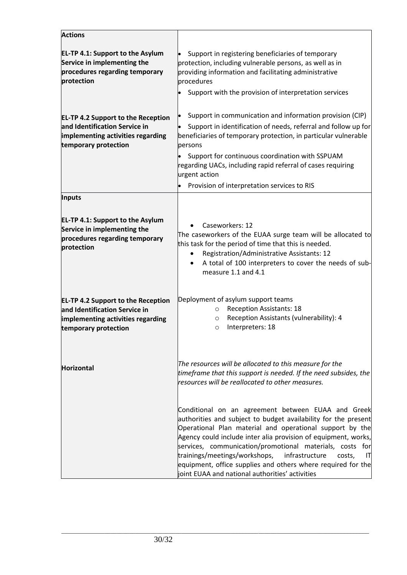| <b>Actions</b>                                                                                                                          |                                                                                                                                                                                                                                                                                                                                                                                                                                                                                                   |
|-----------------------------------------------------------------------------------------------------------------------------------------|---------------------------------------------------------------------------------------------------------------------------------------------------------------------------------------------------------------------------------------------------------------------------------------------------------------------------------------------------------------------------------------------------------------------------------------------------------------------------------------------------|
| <b>EL-TP 4.1: Support to the Asylum</b><br>Service in implementing the<br>procedures regarding temporary<br>protection                  | Support in registering beneficiaries of temporary<br>protection, including vulnerable persons, as well as in<br>providing information and facilitating administrative<br>brocedures                                                                                                                                                                                                                                                                                                               |
| <b>EL-TP 4.2 Support to the Reception</b><br>and Identification Service in<br>implementing activities regarding<br>temporary protection | Support with the provision of interpretation services<br>Support in communication and information provision (CIP)<br>l<br>Support in identification of needs, referral and follow up for<br>beneficiaries of temporary protection, in particular vulnerable<br>bersons<br>Support for continuous coordination with SSPUAM<br>regarding UACs, including rapid referral of cases requiring<br>urgent action<br>Provision of interpretation services to RIS<br>$\bullet$                             |
| <b>Inputs</b>                                                                                                                           |                                                                                                                                                                                                                                                                                                                                                                                                                                                                                                   |
| <b>EL-TP 4.1: Support to the Asylum</b><br>Service in implementing the<br>procedures regarding temporary<br>protection                  | Caseworkers: 12<br>The caseworkers of the EUAA surge team will be allocated to<br>this task for the period of time that this is needed.<br>Registration/Administrative Assistants: 12<br>A total of 100 interpreters to cover the needs of sub-<br>$\bullet$<br>measure 1.1 and 4.1                                                                                                                                                                                                               |
| <b>EL-TP 4.2 Support to the Reception</b><br>and Identification Service in<br>implementing activities regarding<br>temporary protection | Deployment of asylum support teams<br><b>Reception Assistants: 18</b><br>$\circ$<br>Reception Assistants (vulnerability): 4<br>$\circ$<br>Interpreters: 18<br>$\circ$                                                                                                                                                                                                                                                                                                                             |
| Horizontal                                                                                                                              | The resources will be allocated to this measure for the<br>timeframe that this support is needed. If the need subsides, the<br>resources will be reallocated to other measures.                                                                                                                                                                                                                                                                                                                   |
|                                                                                                                                         | Conditional on an agreement between EUAA and Greek<br>authorities and subject to budget availability for the present<br>Operational Plan material and operational support by the<br>Agency could include inter alia provision of equipment, works,<br>services, communication/promotional materials, costs for<br>trainings/meetings/workshops, infrastructure<br>costs,<br>IТ<br>equipment, office supplies and others where required for the<br>joint EUAA and national authorities' activities |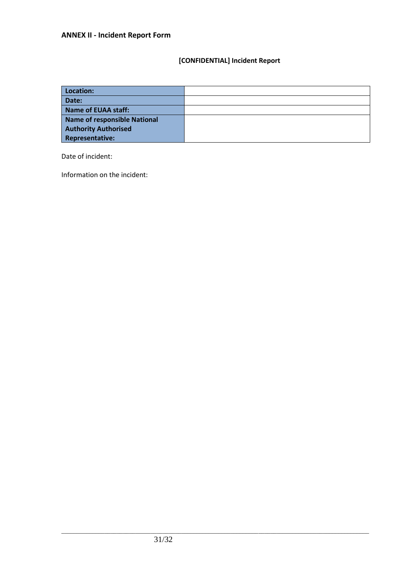## **[CONFIDENTIAL] Incident Report**

| Location:                    |  |
|------------------------------|--|
| Date:                        |  |
| Name of EUAA staff:          |  |
| Name of responsible National |  |
| <b>Authority Authorised</b>  |  |
| <b>Representative:</b>       |  |

Date of incident:

Information on the incident: